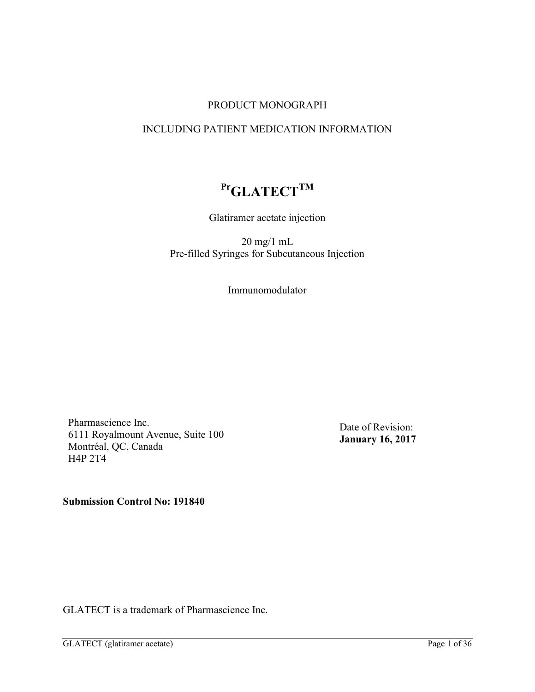### PRODUCT MONOGRAPH

# INCLUDING PATIENT MEDICATION INFORMATION

# **PrGLATECTTM**

Glatiramer acetate injection

20 mg/1 mL Pre-filled Syringes for Subcutaneous Injection

Immunomodulator

Pharmascience Inc. 6111 Royalmount Avenue, Suite 100 Montréal, QC, Canada H4P 2T4

Date of Revision: **January 16, 2017**

**Submission Control No: 191840**

GLATECT is a trademark of Pharmascience Inc.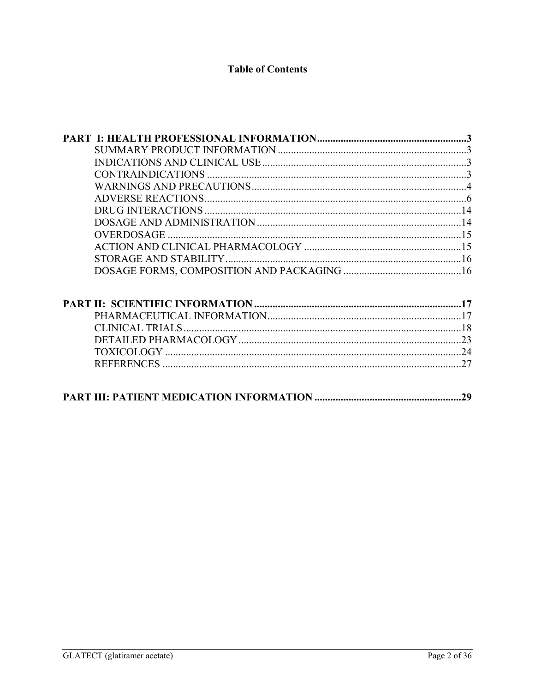# **Table of Contents**

| <b>OVERDOSAGE</b> |    |
|-------------------|----|
|                   |    |
|                   |    |
|                   |    |
|                   |    |
|                   |    |
|                   |    |
|                   |    |
|                   |    |
|                   |    |
|                   | 29 |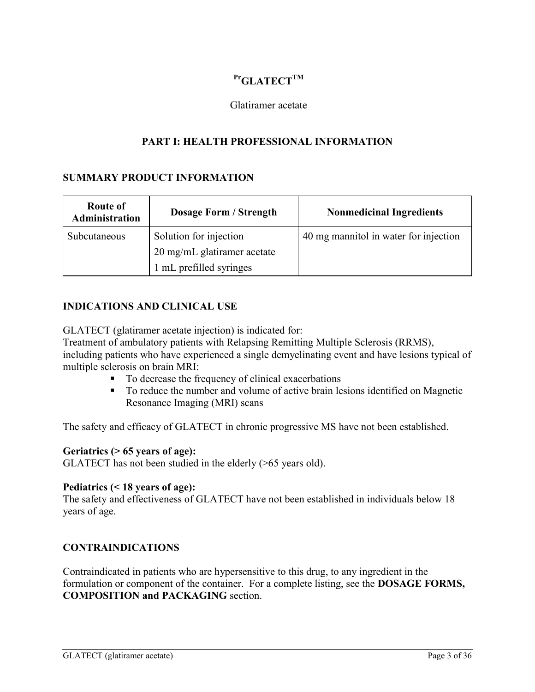# **PrGLATECTTM**

#### <span id="page-2-1"></span><span id="page-2-0"></span>Glatiramer acetate

### **PART I: HEALTH PROFESSIONAL INFORMATION**

#### <span id="page-2-2"></span>**SUMMARY PRODUCT INFORMATION**

| <b>Route of</b><br><b>Administration</b> | <b>Dosage Form / Strength</b> | <b>Nonmedicinal Ingredients</b>       |
|------------------------------------------|-------------------------------|---------------------------------------|
| Subcutaneous                             | Solution for injection        | 40 mg mannitol in water for injection |
|                                          | 20 mg/mL glatiramer acetate   |                                       |
|                                          | 1 mL prefilled syringes       |                                       |

#### **INDICATIONS AND CLINICAL USE**

GLATECT (glatiramer acetate injection) is indicated for:

Treatment of ambulatory patients with Relapsing Remitting Multiple Sclerosis (RRMS), including patients who have experienced a single demyelinating event and have lesions typical of multiple sclerosis on brain MRI:

- To decrease the frequency of clinical exacerbations
- To reduce the number and volume of active brain lesions identified on Magnetic Resonance Imaging (MRI) scans

The safety and efficacy of GLATECT in chronic progressive MS have not been established.

#### **Geriatrics (> 65 years of age):**

GLATECT has not been studied in the elderly (>65 years old).

#### **Pediatrics (< 18 years of age):**

The safety and effectiveness of GLATECT have not been established in individuals below 18 years of age.

# <span id="page-2-3"></span>**CONTRAINDICATIONS**

Contraindicated in patients who are hypersensitive to this drug, to any ingredient in the formulation or component of the container. For a complete listing, see the **DOSAGE FORMS, COMPOSITION and PACKAGING** section.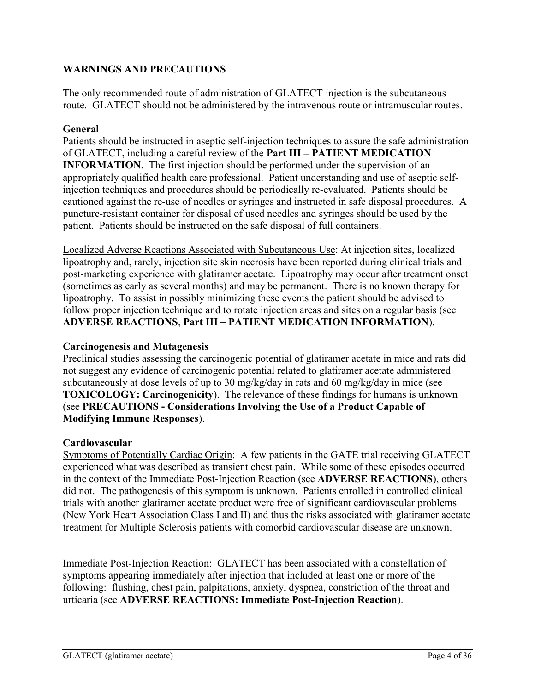# **WARNINGS AND PRECAUTIONS**

<span id="page-3-0"></span>The only recommended route of administration of GLATECT injection is the subcutaneous route. GLATECT should not be administered by the intravenous route or intramuscular routes.

# **General**

Patients should be instructed in aseptic self-injection techniques to assure the safe administration of GLATECT, including a careful review of the **Part III – PATIENT MEDICATION INFORMATION**. The first injection should be performed under the supervision of an appropriately qualified health care professional. Patient understanding and use of aseptic selfinjection techniques and procedures should be periodically re-evaluated. Patients should be cautioned against the re-use of needles or syringes and instructed in safe disposal procedures. A puncture-resistant container for disposal of used needles and syringes should be used by the patient. Patients should be instructed on the safe disposal of full containers.

Localized Adverse Reactions Associated with Subcutaneous Use: At injection sites, localized lipoatrophy and, rarely, injection site skin necrosis have been reported during clinical trials and post-marketing experience with glatiramer acetate. Lipoatrophy may occur after treatment onset (sometimes as early as several months) and may be permanent. There is no known therapy for lipoatrophy. To assist in possibly minimizing these events the patient should be advised to follow proper injection technique and to rotate injection areas and sites on a regular basis (see **ADVERSE REACTIONS**, **Part III – PATIENT MEDICATION INFORMATION**).

# **Carcinogenesis and Mutagenesis**

Preclinical studies assessing the carcinogenic potential of glatiramer acetate in mice and rats did not suggest any evidence of carcinogenic potential related to glatiramer acetate administered subcutaneously at dose levels of up to 30 mg/kg/day in rats and 60 mg/kg/day in mice (see **TOXICOLOGY: Carcinogenicity**). The relevance of these findings for humans is unknown (see **PRECAUTIONS - Considerations Involving the Use of a Product Capable of Modifying Immune Responses**).

# **Cardiovascular**

Symptoms of Potentially Cardiac Origin: A few patients in the GATE trial receiving GLATECT experienced what was described as transient chest pain. While some of these episodes occurred in the context of the Immediate Post-Injection Reaction (see **ADVERSE REACTIONS**), others did not. The pathogenesis of this symptom is unknown. Patients enrolled in controlled clinical trials with another glatiramer acetate product were free of significant cardiovascular problems (New York Heart Association Class I and II) and thus the risks associated with glatiramer acetate treatment for Multiple Sclerosis patients with comorbid cardiovascular disease are unknown.

Immediate Post-Injection Reaction: GLATECT has been associated with a constellation of symptoms appearing immediately after injection that included at least one or more of the following: flushing, chest pain, palpitations, anxiety, dyspnea, constriction of the throat and urticaria (see **ADVERSE REACTIONS: Immediate Post-Injection Reaction**).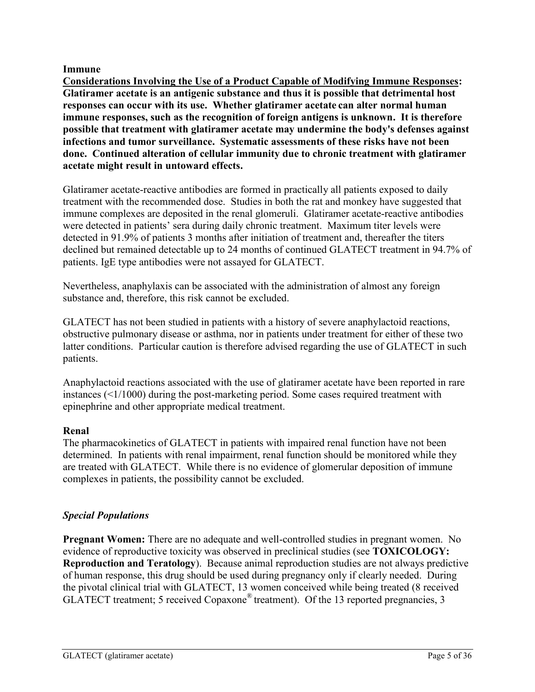#### **Immune**

**Considerations Involving the Use of a Product Capable of Modifying Immune Responses: Glatiramer acetate is an antigenic substance and thus it is possible that detrimental host responses can occur with its use. Whether glatiramer acetate can alter normal human immune responses, such as the recognition of foreign antigens is unknown. It is therefore possible that treatment with glatiramer acetate may undermine the body's defenses against infections and tumor surveillance. Systematic assessments of these risks have not been done. Continued alteration of cellular immunity due to chronic treatment with glatiramer acetate might result in untoward effects.** 

Glatiramer acetate-reactive antibodies are formed in practically all patients exposed to daily treatment with the recommended dose. Studies in both the rat and monkey have suggested that immune complexes are deposited in the renal glomeruli. Glatiramer acetate-reactive antibodies were detected in patients' sera during daily chronic treatment. Maximum titer levels were detected in 91.9% of patients 3 months after initiation of treatment and, thereafter the titers declined but remained detectable up to 24 months of continued GLATECT treatment in 94.7% of patients. IgE type antibodies were not assayed for GLATECT.

Nevertheless, anaphylaxis can be associated with the administration of almost any foreign substance and, therefore, this risk cannot be excluded.

GLATECT has not been studied in patients with a history of severe anaphylactoid reactions, obstructive pulmonary disease or asthma, nor in patients under treatment for either of these two latter conditions. Particular caution is therefore advised regarding the use of GLATECT in such patients.

Anaphylactoid reactions associated with the use of glatiramer acetate have been reported in rare instances (<1/1000) during the post-marketing period. Some cases required treatment with epinephrine and other appropriate medical treatment.

# **Renal**

The pharmacokinetics of GLATECT in patients with impaired renal function have not been determined. In patients with renal impairment, renal function should be monitored while they are treated with GLATECT. While there is no evidence of glomerular deposition of immune complexes in patients, the possibility cannot be excluded.

# *Special Populations*

**Pregnant Women:** There are no adequate and well-controlled studies in pregnant women. No evidence of reproductive toxicity was observed in preclinical studies (see **TOXICOLOGY: Reproduction and Teratology**). Because animal reproduction studies are not always predictive of human response, this drug should be used during pregnancy only if clearly needed. During the pivotal clinical trial with GLATECT, 13 women conceived while being treated (8 received GLATECT treatment; 5 received Copaxone® treatment). Of the 13 reported pregnancies, 3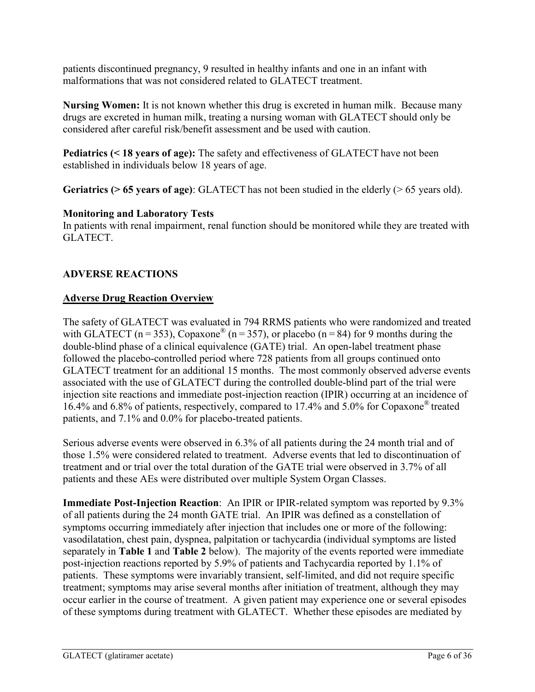patients discontinued pregnancy, 9 resulted in healthy infants and one in an infant with malformations that was not considered related to GLATECT treatment.

**Nursing Women:** It is not known whether this drug is excreted in human milk. Because many drugs are excreted in human milk, treating a nursing woman with GLATECT should only be considered after careful risk/benefit assessment and be used with caution.

**Pediatrics (< 18 years of age):** The safety and effectiveness of GLATECT have not been established in individuals below 18 years of age.

**Geriatrics (> 65 years of age)**: GLATECT has not been studied in the elderly (> 65 years old).

# **Monitoring and Laboratory Tests**

In patients with renal impairment, renal function should be monitored while they are treated with GLATECT.

# <span id="page-5-0"></span>**ADVERSE REACTIONS**

# **Adverse Drug Reaction Overview**

The safety of GLATECT was evaluated in 794 RRMS patients who were randomized and treated with GLATECT ( $n = 353$ ), Copaxone<sup>®</sup> ( $n = 357$ ), or placebo ( $n = 84$ ) for 9 months during the double-blind phase of a clinical equivalence (GATE) trial. An open-label treatment phase followed the placebo-controlled period where 728 patients from all groups continued onto GLATECT treatment for an additional 15 months. The most commonly observed adverse events associated with the use of GLATECT during the controlled double-blind part of the trial were injection site reactions and immediate post-injection reaction (IPIR) occurring at an incidence of 16.4% and 6.8% of patients, respectively, compared to 17.4% and 5.0% for Copaxone® treated patients, and 7.1% and 0.0% for placebo-treated patients.

Serious adverse events were observed in 6.3% of all patients during the 24 month trial and of those 1.5% were considered related to treatment. Adverse events that led to discontinuation of treatment and or trial over the total duration of the GATE trial were observed in 3.7% of all patients and these AEs were distributed over multiple System Organ Classes.

**Immediate Post-Injection Reaction**: An IPIR or IPIR-related symptom was reported by 9.3% of all patients during the 24 month GATE trial. An IPIR was defined as a constellation of symptoms occurring immediately after injection that includes one or more of the following: vasodilatation, chest pain, dyspnea, palpitation or tachycardia (individual symptoms are listed separately in **Table 1** and **Table 2** below). The majority of the events reported were immediate post-injection reactions reported by 5.9% of patients and Tachycardia reported by 1.1% of patients. These symptoms were invariably transient, self-limited, and did not require specific treatment; symptoms may arise several months after initiation of treatment, although they may occur earlier in the course of treatment. A given patient may experience one or several episodes of these symptoms during treatment with GLATECT. Whether these episodes are mediated by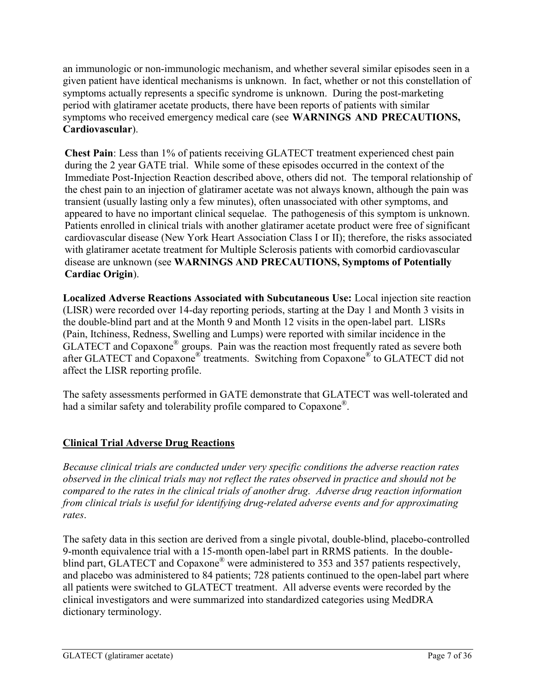an immunologic or non-immunologic mechanism, and whether several similar episodes seen in a given patient have identical mechanisms is unknown. In fact, whether or not this constellation of symptoms actually represents a specific syndrome is unknown. During the post-marketing period with glatiramer acetate products, there have been reports of patients with similar symptoms who received emergency medical care (see **WARNINGS AND PRECAUTIONS, Cardiovascular**).

**Chest Pain**: Less than 1% of patients receiving GLATECT treatment experienced chest pain during the 2 year GATE trial. While some of these episodes occurred in the context of the Immediate Post-Injection Reaction described above, others did not. The temporal relationship of the chest pain to an injection of glatiramer acetate was not always known, although the pain was transient (usually lasting only a few minutes), often unassociated with other symptoms, and appeared to have no important clinical sequelae. The pathogenesis of this symptom is unknown. Patients enrolled in clinical trials with another glatiramer acetate product were free of significant cardiovascular disease (New York Heart Association Class I or II); therefore, the risks associated with glatiramer acetate treatment for Multiple Sclerosis patients with comorbid cardiovascular disease are unknown (see **WARNINGS AND PRECAUTIONS, Symptoms of Potentially Cardiac Origin**).

**Localized Adverse Reactions Associated with Subcutaneous Use:** Local injection site reaction (LISR) were recorded over 14-day reporting periods, starting at the Day 1 and Month 3 visits in the double-blind part and at the Month 9 and Month 12 visits in the open-label part. LISRs (Pain, Itchiness, Redness, Swelling and Lumps) were reported with similar incidence in the GLATECT and Copaxone® groups. Pain was the reaction most frequently rated as severe both after GLATECT and Copaxone® treatments. Switching from Copaxone® to GLATECT did not affect the LISR reporting profile.

The safety assessments performed in GATE demonstrate that GLATECT was well-tolerated and had a similar safety and tolerability profile compared to Copaxone<sup>®</sup>.

# **Clinical Trial Adverse Drug Reactions**

*Because clinical trials are conducted under very specific conditions the adverse reaction rates observed in the clinical trials may not reflect the rates observed in practice and should not be compared to the rates in the clinical trials of another drug. Adverse drug reaction information from clinical trials is useful for identifying drug-related adverse events and for approximating rates*.

The safety data in this section are derived from a single pivotal, double-blind, placebo-controlled 9-month equivalence trial with a 15-month open-label part in RRMS patients. In the doubleblind part, GLATECT and Copaxone<sup>®</sup> were administered to 353 and 357 patients respectively, and placebo was administered to 84 patients; 728 patients continued to the open-label part where all patients were switched to GLATECT treatment. All adverse events were recorded by the clinical investigators and were summarized into standardized categories using MedDRA dictionary terminology.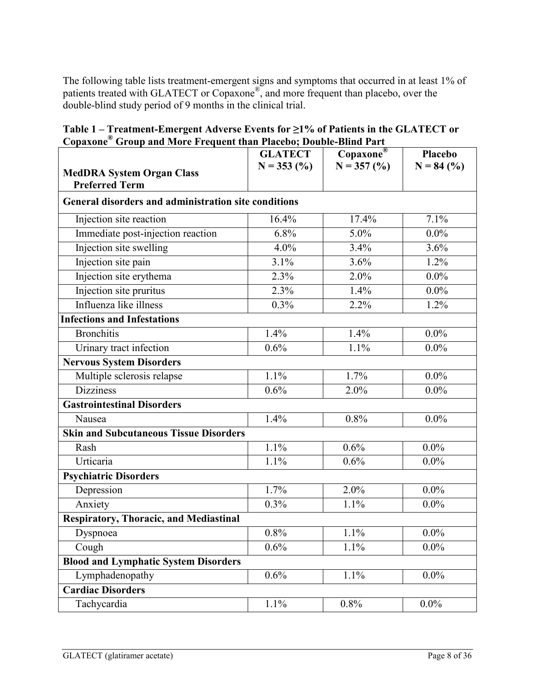The following table lists treatment-emergent signs and symptoms that occurred in at least 1% of patients treated with GLATECT or Copaxone®, and more frequent than placebo, over the double-blind study period of 9 months in the clinical trial.

**Table 1 – Treatment-Emergent Adverse Events for ≥1% of Patients in the GLATECT or Copaxone® Group and More Frequent than Placebo; Double-Blind Part** 

| <b>MedDRA System Organ Class</b><br><b>Preferred Term</b> | <b>GLATECT</b><br>$N = 353$ (%) | Copaxone®<br>$N = 357$ (%) | Placebo<br>$N = 84$ (%) |
|-----------------------------------------------------------|---------------------------------|----------------------------|-------------------------|
| General disorders and administration site conditions      |                                 |                            |                         |
| Injection site reaction                                   | 16.4%                           | 17.4%                      | 7.1%                    |
| Immediate post-injection reaction                         | 6.8%                            | $5.0\%$                    | $0.0\%$                 |
| Injection site swelling                                   | 4.0%                            | 3.4%                       | 3.6%                    |
| Injection site pain                                       | 3.1%                            | 3.6%                       | 1.2%                    |
| Injection site erythema                                   | 2.3%                            | 2.0%                       | $0.0\%$                 |
| Injection site pruritus                                   | 2.3%                            | 1.4%                       | $0.0\%$                 |
| Influenza like illness                                    | 0.3%                            | 2.2%                       | 1.2%                    |
| <b>Infections and Infestations</b>                        |                                 |                            |                         |
| <b>Bronchitis</b>                                         | 1.4%                            | 1.4%                       | $0.0\%$                 |
| Urinary tract infection                                   | 0.6%                            | 1.1%                       | $0.0\%$                 |
| <b>Nervous System Disorders</b>                           |                                 |                            |                         |
| Multiple sclerosis relapse                                | 1.1%                            | 1.7%                       | $0.0\%$                 |
| <b>Dizziness</b>                                          | 0.6%                            | 2.0%                       | $0.0\%$                 |
| <b>Gastrointestinal Disorders</b>                         |                                 |                            |                         |
| Nausea                                                    | 1.4%                            | 0.8%                       | $0.0\%$                 |
| <b>Skin and Subcutaneous Tissue Disorders</b>             |                                 |                            |                         |
| Rash                                                      | 1.1%                            | 0.6%                       | $0.0\%$                 |
| Urticaria                                                 | 1.1%                            | 0.6%                       | $0.0\%$                 |
| <b>Psychiatric Disorders</b>                              |                                 |                            |                         |
| Depression                                                | 1.7%                            | 2.0%                       | $0.0\%$                 |
| Anxiety                                                   | 0.3%                            | 1.1%                       | $0.0\%$                 |
| <b>Respiratory, Thoracic, and Mediastinal</b>             |                                 |                            |                         |
| Dyspnoea                                                  | $0.8\%$                         | 1.1%                       | $0.0\%$                 |
| Cough                                                     | 0.6%                            | 1.1%                       | $0.0\%$                 |
| <b>Blood and Lymphatic System Disorders</b>               |                                 |                            |                         |
| Lymphadenopathy                                           | 0.6%                            | 1.1%                       | $0.0\%$                 |
| <b>Cardiac Disorders</b>                                  |                                 |                            |                         |
| Tachycardia                                               | 1.1%                            | 0.8%                       | $0.0\%$                 |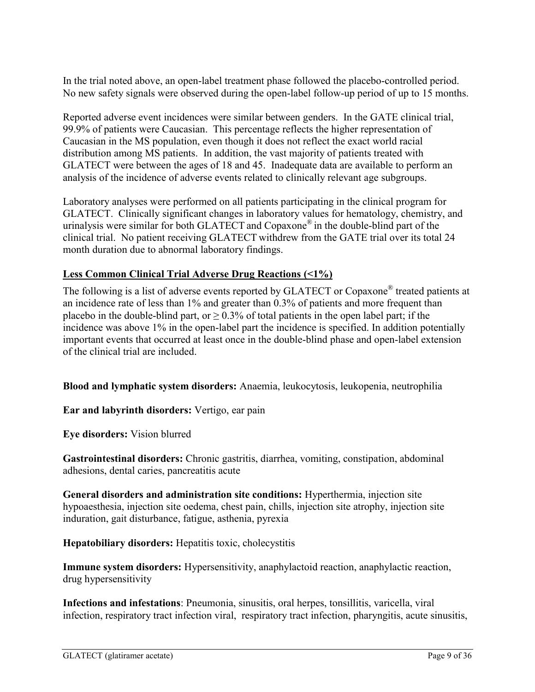In the trial noted above, an open-label treatment phase followed the placebo-controlled period. No new safety signals were observed during the open-label follow-up period of up to 15 months.

Reported adverse event incidences were similar between genders. In the GATE clinical trial, 99.9% of patients were Caucasian. This percentage reflects the higher representation of Caucasian in the MS population, even though it does not reflect the exact world racial distribution among MS patients. In addition, the vast majority of patients treated with GLATECT were between the ages of 18 and 45. Inadequate data are available to perform an analysis of the incidence of adverse events related to clinically relevant age subgroups.

Laboratory analyses were performed on all patients participating in the clinical program for GLATECT. Clinically significant changes in laboratory values for hematology, chemistry, and urinalysis were similar for both GLATECT and Copaxone® in the double-blind part of the clinical trial. No patient receiving GLATECT withdrew from the GATE trial over its total 24 month duration due to abnormal laboratory findings.

# **Less Common Clinical Trial Adverse Drug Reactions (<1%)**

The following is a list of adverse events reported by GLATECT or Copaxone<sup>®</sup> treated patients at an incidence rate of less than 1% and greater than 0.3% of patients and more frequent than placebo in the double-blind part, or  $> 0.3\%$  of total patients in the open label part; if the incidence was above 1% in the open-label part the incidence is specified. In addition potentially important events that occurred at least once in the double-blind phase and open-label extension of the clinical trial are included.

**Blood and lymphatic system disorders:** Anaemia, leukocytosis, leukopenia, neutrophilia

**Ear and labyrinth disorders:** Vertigo, ear pain

**Eye disorders:** Vision blurred

**Gastrointestinal disorders:** Chronic gastritis, diarrhea, vomiting, constipation, abdominal adhesions, dental caries, pancreatitis acute

**General disorders and administration site conditions:** Hyperthermia, injection site hypoaesthesia, injection site oedema, chest pain, chills, injection site atrophy, injection site induration, gait disturbance, fatigue, asthenia, pyrexia

**Hepatobiliary disorders:** Hepatitis toxic, cholecystitis

**Immune system disorders:** Hypersensitivity, anaphylactoid reaction, anaphylactic reaction, drug hypersensitivity

**Infections and infestations**: Pneumonia, sinusitis, oral herpes, tonsillitis, varicella, viral infection, respiratory tract infection viral, respiratory tract infection, pharyngitis, acute sinusitis,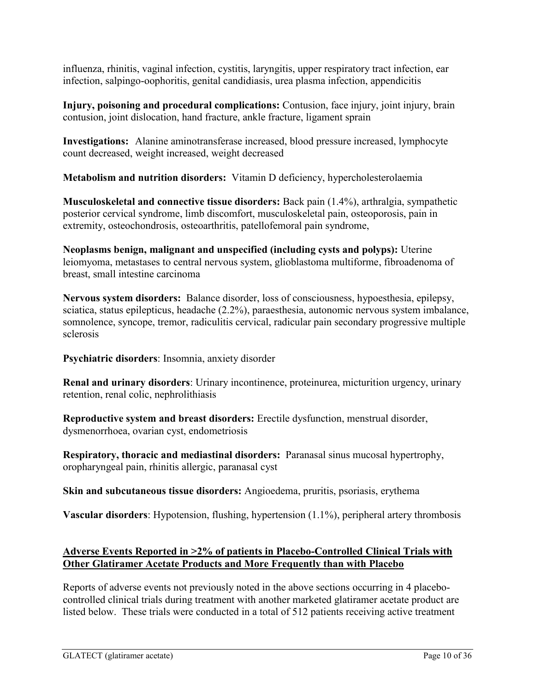influenza, rhinitis, vaginal infection, cystitis, laryngitis, upper respiratory tract infection, ear infection, salpingo-oophoritis, genital candidiasis, urea plasma infection, appendicitis

**Injury, poisoning and procedural complications:** Contusion, face injury, joint injury, brain contusion, joint dislocation, hand fracture, ankle fracture, ligament sprain

**Investigations:** Alanine aminotransferase increased, blood pressure increased, lymphocyte count decreased, weight increased, weight decreased

**Metabolism and nutrition disorders:** Vitamin D deficiency, hypercholesterolaemia

**Musculoskeletal and connective tissue disorders:** Back pain (1.4%), arthralgia, sympathetic posterior cervical syndrome, limb discomfort, musculoskeletal pain, osteoporosis, pain in extremity, osteochondrosis, osteoarthritis, patellofemoral pain syndrome,

**Neoplasms benign, malignant and unspecified (including cysts and polyps):** Uterine leiomyoma, metastases to central nervous system, glioblastoma multiforme, fibroadenoma of breast, small intestine carcinoma

**Nervous system disorders:** Balance disorder, loss of consciousness, hypoesthesia, epilepsy, sciatica, status epilepticus, headache (2.2%), paraesthesia, autonomic nervous system imbalance, somnolence, syncope, tremor, radiculitis cervical, radicular pain secondary progressive multiple sclerosis

**Psychiatric disorders**: Insomnia, anxiety disorder

**Renal and urinary disorders**: Urinary incontinence, proteinurea, micturition urgency, urinary retention, renal colic, nephrolithiasis

**Reproductive system and breast disorders:** Erectile dysfunction, menstrual disorder, dysmenorrhoea, ovarian cyst, endometriosis

**Respiratory, thoracic and mediastinal disorders:** Paranasal sinus mucosal hypertrophy, oropharyngeal pain, rhinitis allergic, paranasal cyst

**Skin and subcutaneous tissue disorders:** Angioedema, pruritis, psoriasis, erythema

**Vascular disorders**: Hypotension, flushing, hypertension (1.1%), peripheral artery thrombosis

# **Adverse Events Reported in >2% of patients in Placebo-Controlled Clinical Trials with Other Glatiramer Acetate Products and More Frequently than with Placebo**

Reports of adverse events not previously noted in the above sections occurring in 4 placebocontrolled clinical trials during treatment with another marketed glatiramer acetate product are listed below. These trials were conducted in a total of 512 patients receiving active treatment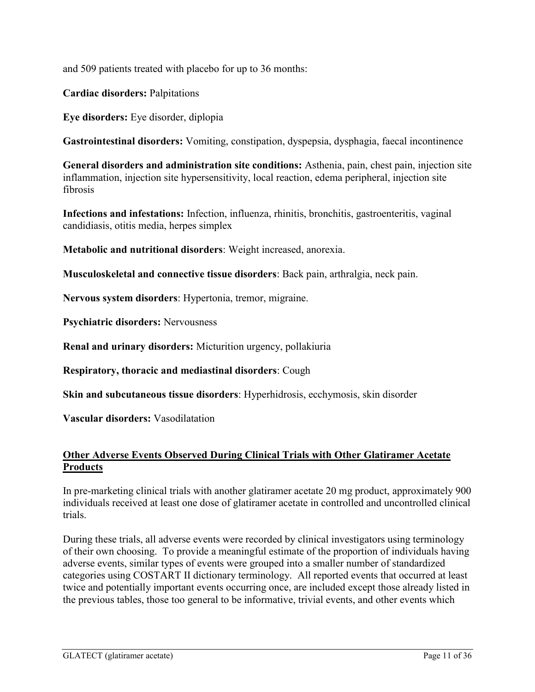and 509 patients treated with placebo for up to 36 months:

**Cardiac disorders:** Palpitations

**Eye disorders:** Eye disorder, diplopia

**Gastrointestinal disorders:** Vomiting, constipation, dyspepsia, dysphagia, faecal incontinence

**General disorders and administration site conditions:** Asthenia, pain, chest pain, injection site inflammation, injection site hypersensitivity, local reaction, edema peripheral, injection site fibrosis

**Infections and infestations:** Infection, influenza, rhinitis, bronchitis, gastroenteritis, vaginal candidiasis, otitis media, herpes simplex

**Metabolic and nutritional disorders**: Weight increased, anorexia.

**Musculoskeletal and connective tissue disorders**: Back pain, arthralgia, neck pain.

**Nervous system disorders**: Hypertonia, tremor, migraine.

**Psychiatric disorders:** Nervousness

**Renal and urinary disorders:** Micturition urgency, pollakiuria

**Respiratory, thoracic and mediastinal disorders**: Cough

**Skin and subcutaneous tissue disorders**: Hyperhidrosis, ecchymosis, skin disorder

**Vascular disorders:** Vasodilatation

# **Other Adverse Events Observed During Clinical Trials with Other Glatiramer Acetate Products**

In pre-marketing clinical trials with another glatiramer acetate 20 mg product, approximately 900 individuals received at least one dose of glatiramer acetate in controlled and uncontrolled clinical trials.

During these trials, all adverse events were recorded by clinical investigators using terminology of their own choosing. To provide a meaningful estimate of the proportion of individuals having adverse events, similar types of events were grouped into a smaller number of standardized categories using COSTART II dictionary terminology. All reported events that occurred at least twice and potentially important events occurring once, are included except those already listed in the previous tables, those too general to be informative, trivial events, and other events which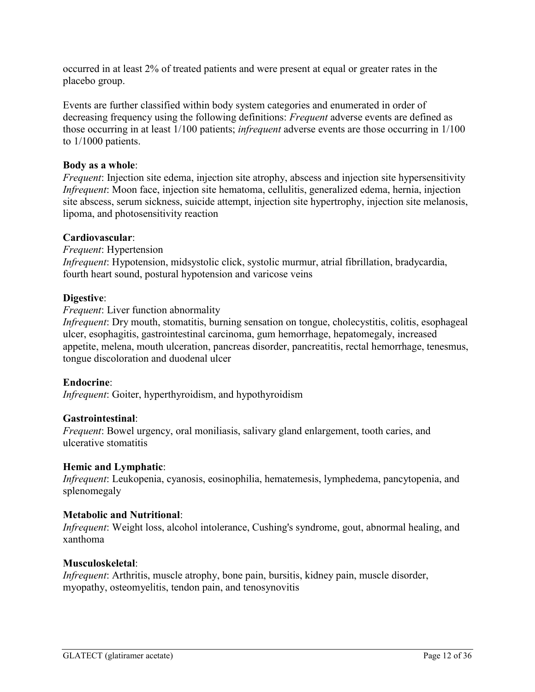occurred in at least 2% of treated patients and were present at equal or greater rates in the placebo group.

Events are further classified within body system categories and enumerated in order of decreasing frequency using the following definitions: *Frequent* adverse events are defined as those occurring in at least 1/100 patients; *infrequent* adverse events are those occurring in 1/100 to 1/1000 patients.

#### **Body as a whole**:

*Frequent*: Injection site edema, injection site atrophy, abscess and injection site hypersensitivity *Infrequent*: Moon face, injection site hematoma, cellulitis, generalized edema, hernia, injection site abscess, serum sickness, suicide attempt, injection site hypertrophy, injection site melanosis, lipoma, and photosensitivity reaction

#### **Cardiovascular**:

*Frequent*: Hypertension *Infrequent*: Hypotension, midsystolic click, systolic murmur, atrial fibrillation, bradycardia, fourth heart sound, postural hypotension and varicose veins

# **Digestive**:

*Frequent*: Liver function abnormality

*Infrequent*: Dry mouth, stomatitis, burning sensation on tongue, cholecystitis, colitis, esophageal ulcer, esophagitis, gastrointestinal carcinoma, gum hemorrhage, hepatomegaly, increased appetite, melena, mouth ulceration, pancreas disorder, pancreatitis, rectal hemorrhage, tenesmus, tongue discoloration and duodenal ulcer

# **Endocrine**:

*Infrequent*: Goiter, hyperthyroidism, and hypothyroidism

#### **Gastrointestinal**:

*Frequent*: Bowel urgency, oral moniliasis, salivary gland enlargement, tooth caries, and ulcerative stomatitis

#### **Hemic and Lymphatic**:

*Infrequent*: Leukopenia, cyanosis, eosinophilia, hematemesis, lymphedema, pancytopenia, and splenomegaly

#### **Metabolic and Nutritional**:

*Infrequent*: Weight loss, alcohol intolerance, Cushing's syndrome, gout, abnormal healing, and xanthoma

#### **Musculoskeletal**:

*Infrequent*: Arthritis, muscle atrophy, bone pain, bursitis, kidney pain, muscle disorder, myopathy, osteomyelitis, tendon pain, and tenosynovitis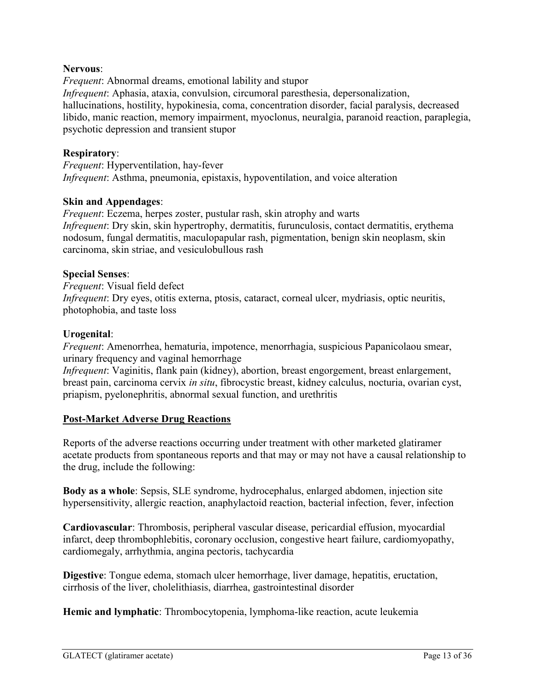#### **Nervous**:

*Frequent*: Abnormal dreams, emotional lability and stupor *Infrequent*: Aphasia, ataxia, convulsion, circumoral paresthesia, depersonalization, hallucinations, hostility, hypokinesia, coma, concentration disorder, facial paralysis, decreased libido, manic reaction, memory impairment, myoclonus, neuralgia, paranoid reaction, paraplegia, psychotic depression and transient stupor

#### **Respiratory**:

*Frequent*: Hyperventilation, hay-fever *Infrequent*: Asthma, pneumonia, epistaxis, hypoventilation, and voice alteration

#### **Skin and Appendages**:

*Frequent*: Eczema, herpes zoster, pustular rash, skin atrophy and warts *Infrequent*: Dry skin, skin hypertrophy, dermatitis, furunculosis, contact dermatitis, erythema nodosum, fungal dermatitis, maculopapular rash, pigmentation, benign skin neoplasm, skin carcinoma, skin striae, and vesiculobullous rash

#### **Special Senses**:

*Frequent*: Visual field defect *Infrequent*: Dry eyes, otitis externa, ptosis, cataract, corneal ulcer, mydriasis, optic neuritis, photophobia, and taste loss

#### **Urogenital**:

*Frequent*: Amenorrhea, hematuria, impotence, menorrhagia, suspicious Papanicolaou smear, urinary frequency and vaginal hemorrhage

*Infrequent*: Vaginitis, flank pain (kidney), abortion, breast engorgement, breast enlargement, breast pain, carcinoma cervix *in situ*, fibrocystic breast, kidney calculus, nocturia, ovarian cyst, priapism, pyelonephritis, abnormal sexual function, and urethritis

# **Post-Market Adverse Drug Reactions**

Reports of the adverse reactions occurring under treatment with other marketed glatiramer acetate products from spontaneous reports and that may or may not have a causal relationship to the drug, include the following:

**Body as a whole**: Sepsis, SLE syndrome, hydrocephalus, enlarged abdomen, injection site hypersensitivity, allergic reaction, anaphylactoid reaction, bacterial infection, fever, infection

**Cardiovascular**: Thrombosis, peripheral vascular disease, pericardial effusion, myocardial infarct, deep thrombophlebitis, coronary occlusion, congestive heart failure, cardiomyopathy, cardiomegaly, arrhythmia, angina pectoris, tachycardia

**Digestive**: Tongue edema, stomach ulcer hemorrhage, liver damage, hepatitis, eructation, cirrhosis of the liver, cholelithiasis, diarrhea, gastrointestinal disorder

**Hemic and lymphatic**: Thrombocytopenia, lymphoma-like reaction, acute leukemia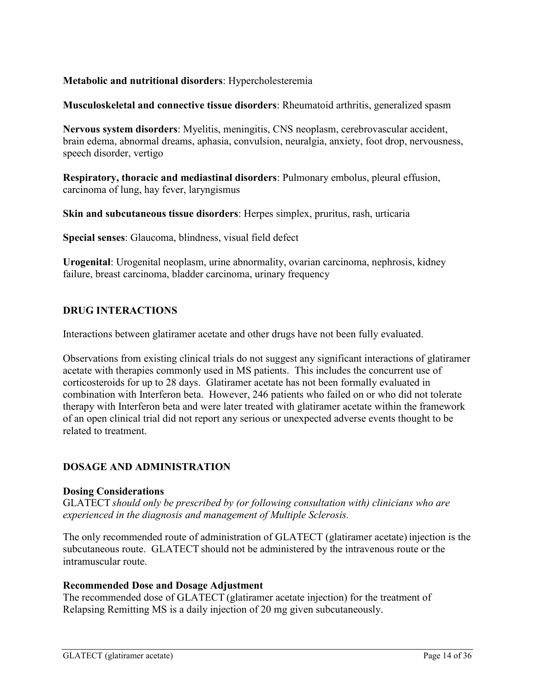# **Metabolic and nutritional disorders**: Hypercholesteremia

#### **Musculoskeletal and connective tissue disorders**: Rheumatoid arthritis, generalized spasm

**Nervous system disorders**: Myelitis, meningitis, CNS neoplasm, cerebrovascular accident, brain edema, abnormal dreams, aphasia, convulsion, neuralgia, anxiety, foot drop, nervousness, speech disorder, vertigo

**Respiratory, thoracic and mediastinal disorders**: Pulmonary embolus, pleural effusion, carcinoma of lung, hay fever, laryngismus

**Skin and subcutaneous tissue disorders**: Herpes simplex, pruritus, rash, urticaria

**Special senses**: Glaucoma, blindness, visual field defect

**Urogenital**: Urogenital neoplasm, urine abnormality, ovarian carcinoma, nephrosis, kidney failure, breast carcinoma, bladder carcinoma, urinary frequency

#### <span id="page-13-0"></span>**DRUG INTERACTIONS**

Interactions between glatiramer acetate and other drugs have not been fully evaluated.

Observations from existing clinical trials do not suggest any significant interactions of glatiramer acetate with therapies commonly used in MS patients. This includes the concurrent use of corticosteroids for up to 28 days. Glatiramer acetate has not been formally evaluated in combination with Interferon beta. However, 246 patients who failed on or who did not tolerate therapy with Interferon beta and were later treated with glatiramer acetate within the framework of an open clinical trial did not report any serious or unexpected adverse events thought to be related to treatment.

#### <span id="page-13-1"></span>**DOSAGE AND ADMINISTRATION**

#### **Dosing Considerations**

GLATECT *should only be prescribed by (or following consultation with) clinicians who are experienced in the diagnosis and management of Multiple Sclerosis.*

The only recommended route of administration of GLATECT (glatiramer acetate) injection is the subcutaneous route. GLATECT should not be administered by the intravenous route or the intramuscular route.

#### **Recommended Dose and Dosage Adjustment**

The recommended dose of GLATECT (glatiramer acetate injection) for the treatment of Relapsing Remitting MS is a daily injection of 20 mg given subcutaneously.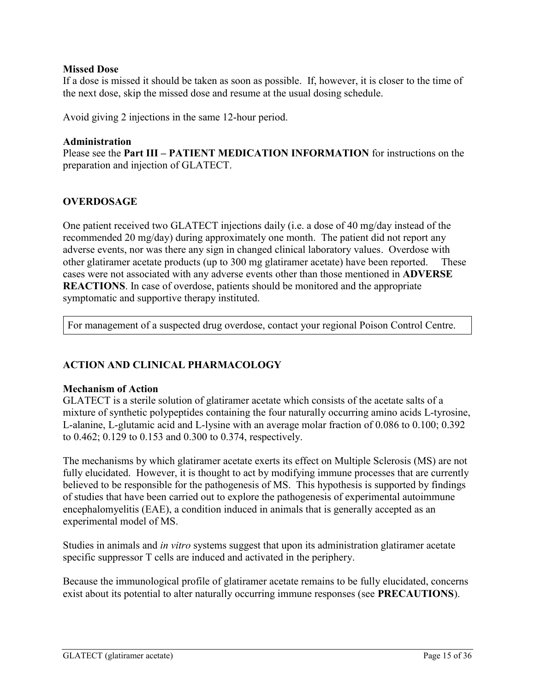#### <span id="page-14-0"></span>**Missed Dose**

If a dose is missed it should be taken as soon as possible. If, however, it is closer to the time of the next dose, skip the missed dose and resume at the usual dosing schedule.

Avoid giving 2 injections in the same 12-hour period.

#### **Administration**

Please see the **Part III – PATIENT MEDICATION INFORMATION** for instructions on the preparation and injection of GLATECT.

# **OVERDOSAGE**

One patient received two GLATECT injections daily (i.e. a dose of 40 mg/day instead of the recommended 20 mg/day) during approximately one month. The patient did not report any adverse events, nor was there any sign in changed clinical laboratory values. Overdose with other glatiramer acetate products (up to 300 mg glatiramer acetate) have been reported. These cases were not associated with any adverse events other than those mentioned in **ADVERSE REACTIONS**. In case of overdose, patients should be monitored and the appropriate symptomatic and supportive therapy instituted.

<span id="page-14-1"></span>For management of a suspected drug overdose, contact your regional Poison Control Centre.

# **ACTION AND CLINICAL PHARMACOLOGY**

#### **Mechanism of Action**

GLATECT is a sterile solution of glatiramer acetate which consists of the acetate salts of a mixture of synthetic polypeptides containing the four naturally occurring amino acids L-tyrosine, L-alanine, L-glutamic acid and L-lysine with an average molar fraction of 0.086 to 0.100; 0.392 to 0.462; 0.129 to 0.153 and 0.300 to 0.374, respectively.

The mechanisms by which glatiramer acetate exerts its effect on Multiple Sclerosis (MS) are not fully elucidated. However, it is thought to act by modifying immune processes that are currently believed to be responsible for the pathogenesis of MS. This hypothesis is supported by findings of studies that have been carried out to explore the pathogenesis of experimental autoimmune encephalomyelitis (EAE), a condition induced in animals that is generally accepted as an experimental model of MS.

Studies in animals and *in vitro* systems suggest that upon its administration glatiramer acetate specific suppressor T cells are induced and activated in the periphery.

Because the immunological profile of glatiramer acetate remains to be fully elucidated, concerns exist about its potential to alter naturally occurring immune responses (see **PRECAUTIONS**).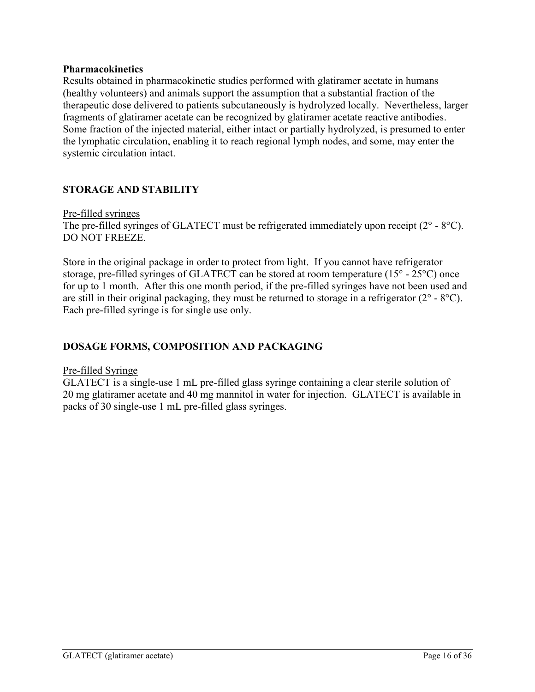#### **Pharmacokinetics**

Results obtained in pharmacokinetic studies performed with glatiramer acetate in humans (healthy volunteers) and animals support the assumption that a substantial fraction of the therapeutic dose delivered to patients subcutaneously is hydrolyzed locally. Nevertheless, larger fragments of glatiramer acetate can be recognized by glatiramer acetate reactive antibodies. Some fraction of the injected material, either intact or partially hydrolyzed, is presumed to enter the lymphatic circulation, enabling it to reach regional lymph nodes, and some, may enter the systemic circulation intact.

# <span id="page-15-0"></span>**STORAGE AND STABILITY**

#### Pre-filled syringes

The pre-filled syringes of GLATECT must be refrigerated immediately upon receipt (2° - 8°C). DO NOT FREEZE.

Store in the original package in order to protect from light. If you cannot have refrigerator storage, pre-filled syringes of GLATECT can be stored at room temperature (15° - 25°C) once for up to 1 month. After this one month period, if the pre-filled syringes have not been used and are still in their original packaging, they must be returned to storage in a refrigerator (2° - 8°C). Each pre-filled syringe is for single use only.

# <span id="page-15-1"></span>**DOSAGE FORMS, COMPOSITION AND PACKAGING**

#### Pre-filled Syringe

GLATECT is a single-use 1 mL pre-filled glass syringe containing a clear sterile solution of 20 mg glatiramer acetate and 40 mg mannitol in water for injection. GLATECT is available in packs of 30 single-use 1 mL pre-filled glass syringes.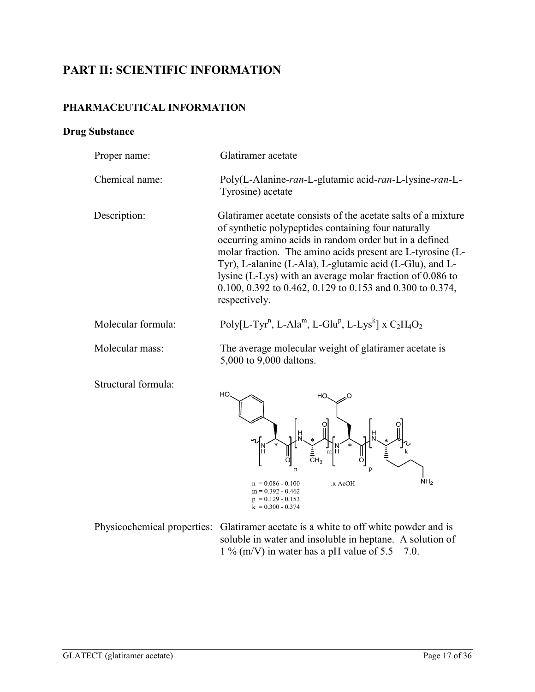# **PART II: SCIENTIFIC INFORMATION**

# **PHARMACEUTICAL INFORMATION**

# **Drug Substance**

<span id="page-16-1"></span><span id="page-16-0"></span>

| Proper name:        | Glatiramer acetate                                                                                                                                                                                                                                                                                                                                                                                                                                  |  |  |  |
|---------------------|-----------------------------------------------------------------------------------------------------------------------------------------------------------------------------------------------------------------------------------------------------------------------------------------------------------------------------------------------------------------------------------------------------------------------------------------------------|--|--|--|
| Chemical name:      | Poly(L-Alanine-ran-L-glutamic acid-ran-L-lysine-ran-L-<br>Tyrosine) acetate                                                                                                                                                                                                                                                                                                                                                                         |  |  |  |
| Description:        | Glatiramer acetate consists of the acetate salts of a mixture<br>of synthetic polypeptides containing four naturally<br>occurring amino acids in random order but in a defined<br>molar fraction. The amino acids present are L-tyrosine (L-<br>Tyr), L-alanine (L-Ala), L-glutamic acid (L-Glu), and L-<br>lysine (L-Lys) with an average molar fraction of 0.086 to<br>0.100, 0.392 to 0.462, 0.129 to 0.153 and 0.300 to 0.374,<br>respectively. |  |  |  |
| Molecular formula:  | Poly[L-Tyr <sup>n</sup> , L-Ala <sup>m</sup> , L-Glu <sup>p</sup> , L-Lys <sup>k</sup> ] x $C_2H_4O_2$                                                                                                                                                                                                                                                                                                                                              |  |  |  |
| Molecular mass:     | The average molecular weight of glatiramer acetate is<br>5,000 to 9,000 daltons.                                                                                                                                                                                                                                                                                                                                                                    |  |  |  |
| Structural formula: | HO<br>HO.                                                                                                                                                                                                                                                                                                                                                                                                                                           |  |  |  |

Physicochemical properties: Glatiramer acetate is a white to off white powder and is soluble in water and insoluble in heptane. A solution of 1 % (m/V) in water has a pH value of  $5.5 - 7.0$ .

 $n = 0.086 - 0.100$ <br>m = 0.392 - 0.462

 $p = 0.129 - 0.153$ <br>k = 0.300 - 0.374

.x AcOH

 $NH<sub>2</sub>$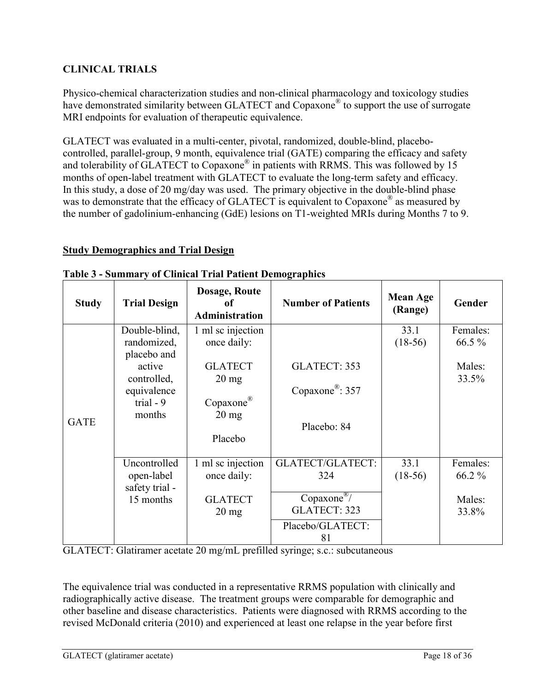# <span id="page-17-0"></span>**CLINICAL TRIALS**

Physico-chemical characterization studies and non-clinical pharmacology and toxicology studies have demonstrated similarity between GLATECT and Copaxone<sup>®</sup> to support the use of surrogate MRI endpoints for evaluation of therapeutic equivalence.

GLATECT was evaluated in a multi-center, pivotal, randomized, double-blind, placebocontrolled, parallel-group, 9 month, equivalence trial (GATE) comparing the efficacy and safety and tolerability of GLATECT to Copaxone<sup>®</sup> in patients with RRMS. This was followed by 15 months of open-label treatment with GLATECT to evaluate the long-term safety and efficacy. In this study, a dose of 20 mg/day was used. The primary objective in the double-blind phase was to demonstrate that the efficacy of GLATECT is equivalent to Copaxone<sup>®</sup> as measured by the number of gadolinium-enhancing (GdE) lesions on T1-weighted MRIs during Months 7 to 9.

# **Study Demographics and Trial Design**

| <b>Study</b> | <b>Trial Design</b>                                                         | Dosage, Route<br>оf<br><b>Administration</b>                      | <b>Number of Patients</b>                   | <b>Mean Age</b><br>(Range) | Gender             |
|--------------|-----------------------------------------------------------------------------|-------------------------------------------------------------------|---------------------------------------------|----------------------------|--------------------|
|              | Double-blind,<br>randomized,                                                | 1 ml sc injection<br>once daily:                                  |                                             | 33.1<br>$(18-56)$          | Females:<br>66.5 % |
|              | placebo and<br>active<br>controlled,<br>equivalence<br>trial $-9$<br>months | <b>GLATECT</b><br>$20 \text{ mg}$<br>Copaxone®<br>$20 \text{ mg}$ | GLATECT: 353<br>Copaxone <sup>®</sup> : 357 |                            | Males:<br>33.5%    |
| <b>GATE</b>  |                                                                             | Placebo                                                           | Placebo: 84                                 |                            |                    |
|              | Uncontrolled<br>open-label<br>safety trial -                                | 1 ml sc injection<br>once daily:                                  | <b>GLATECT/GLATECT:</b><br>324              | 33.1<br>$(18-56)$          | Females:<br>66.2 % |
|              | 15 months                                                                   | <b>GLATECT</b><br>$20 \text{ mg}$                                 | Copaxone <sup>®</sup> /<br>GLATECT: 323     |                            | Males:<br>33.8%    |
|              |                                                                             |                                                                   | Placebo/GLATECT:<br>81                      |                            |                    |

#### **Table 3 - Summary of Clinical Trial Patient Demographics**

GLATECT: Glatiramer acetate 20 mg/mL prefilled syringe; s.c.: subcutaneous

The equivalence trial was conducted in a representative RRMS population with clinically and radiographically active disease. The treatment groups were comparable for demographic and other baseline and disease characteristics. Patients were diagnosed with RRMS according to the revised McDonald criteria (2010) and experienced at least one relapse in the year before first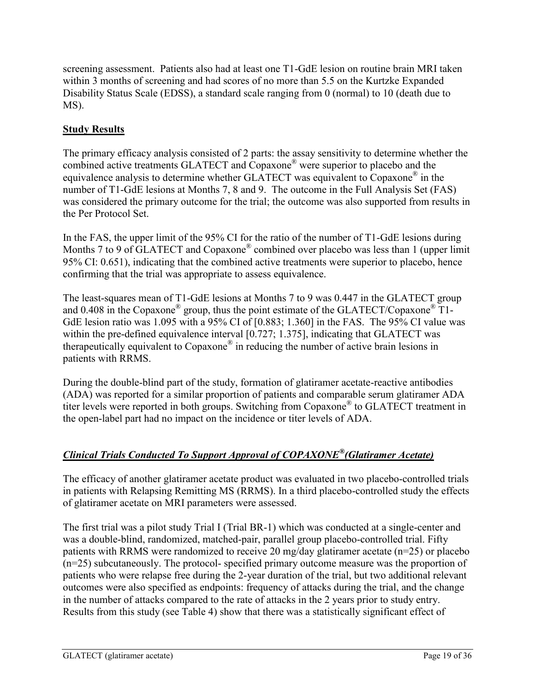screening assessment. Patients also had at least one T1-GdE lesion on routine brain MRI taken within 3 months of screening and had scores of no more than 5.5 on the Kurtzke Expanded Disability Status Scale (EDSS), a standard scale ranging from 0 (normal) to 10 (death due to MS).

# **Study Results**

The primary efficacy analysis consisted of 2 parts: the assay sensitivity to determine whether the combined active treatments GLATECT and Copaxone® were superior to placebo and the equivalence analysis to determine whether GLATECT was equivalent to Copaxone® in the number of T1-GdE lesions at Months 7, 8 and 9. The outcome in the Full Analysis Set (FAS) was considered the primary outcome for the trial; the outcome was also supported from results in the Per Protocol Set.

In the FAS, the upper limit of the 95% CI for the ratio of the number of T1-GdE lesions during Months 7 to 9 of GLATECT and Copaxone<sup>®</sup> combined over placebo was less than 1 (upper limit 95% CI: 0.651), indicating that the combined active treatments were superior to placebo, hence confirming that the trial was appropriate to assess equivalence.

The least-squares mean of T1-GdE lesions at Months 7 to 9 was 0.447 in the GLATECT group and 0.408 in the Copaxone<sup>®</sup> group, thus the point estimate of the GLATECT/Copaxone<sup>®</sup> T1-GdE lesion ratio was 1.095 with a 95% CI of [0.883; 1.360] in the FAS. The 95% CI value was within the pre-defined equivalence interval [0.727; 1.375], indicating that GLATECT was therapeutically equivalent to Copaxone® in reducing the number of active brain lesions in patients with RRMS.

During the double-blind part of the study, formation of glatiramer acetate-reactive antibodies (ADA) was reported for a similar proportion of patients and comparable serum glatiramer ADA titer levels were reported in both groups. Switching from Copaxone® to GLATECT treatment in the open-label part had no impact on the incidence or titer levels of ADA.

# *Clinical Trials Conducted To Support Approval of COPAXONE® (Glatiramer Acetate)*

The efficacy of another glatiramer acetate product was evaluated in two placebo-controlled trials in patients with Relapsing Remitting MS (RRMS). In a third placebo-controlled study the effects of glatiramer acetate on MRI parameters were assessed.

The first trial was a pilot study Trial I (Trial BR-1) which was conducted at a single-center and was a double-blind, randomized, matched-pair, parallel group placebo-controlled trial. Fifty patients with RRMS were randomized to receive 20 mg/day glatiramer acetate (n=25) or placebo (n=25) subcutaneously. The protocol- specified primary outcome measure was the proportion of patients who were relapse free during the 2-year duration of the trial, but two additional relevant outcomes were also specified as endpoints: frequency of attacks during the trial, and the change in the number of attacks compared to the rate of attacks in the 2 years prior to study entry. Results from this study (see Table 4) show that there was a statistically significant effect of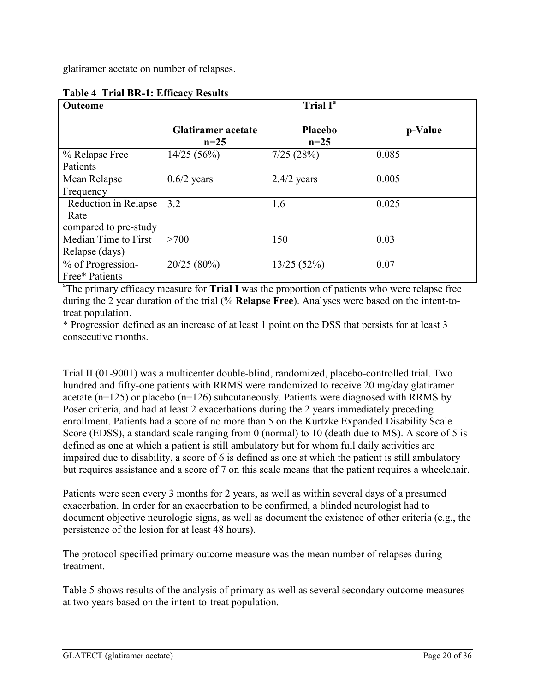glatiramer acetate on number of relapses.

| Outcome               | Trial I <sup>a</sup>                |                   |         |  |
|-----------------------|-------------------------------------|-------------------|---------|--|
|                       | <b>Glatiramer</b> acetate<br>$n=25$ | Placebo<br>$n=25$ | p-Value |  |
| % Relapse Free        | 14/25(56%)                          | 7/25(28%)         | 0.085   |  |
| Patients              |                                     |                   |         |  |
| Mean Relapse          | $0.6/2$ years                       | $2.4/2$ years     | 0.005   |  |
| Frequency             |                                     |                   |         |  |
| Reduction in Relapse  | 3.2                                 | 1.6               | 0.025   |  |
| Rate                  |                                     |                   |         |  |
| compared to pre-study |                                     |                   |         |  |
| Median Time to First  | >700                                | 150               | 0.03    |  |
| Relapse (days)        |                                     |                   |         |  |
| % of Progression-     | 20/25(80%)                          | 13/25(52%)        | 0.07    |  |
| Free* Patients        |                                     |                   |         |  |

# **Table 4 Trial BR-1: Efficacy Results**

<sup>a</sup>The primary efficacy measure for **Trial I** was the proportion of patients who were relapse free during the 2 year duration of the trial (% **Relapse Free**). Analyses were based on the intent-totreat population.

\* Progression defined as an increase of at least 1 point on the DSS that persists for at least 3 consecutive months.

Trial II (01-9001) was a multicenter double-blind, randomized, placebo-controlled trial. Two hundred and fifty-one patients with RRMS were randomized to receive 20 mg/day glatiramer acetate ( $n=125$ ) or placebo ( $n=126$ ) subcutaneously. Patients were diagnosed with RRMS by Poser criteria, and had at least 2 exacerbations during the 2 years immediately preceding enrollment. Patients had a score of no more than 5 on the Kurtzke Expanded Disability Scale Score (EDSS), a standard scale ranging from 0 (normal) to 10 (death due to MS). A score of 5 is defined as one at which a patient is still ambulatory but for whom full daily activities are impaired due to disability, a score of 6 is defined as one at which the patient is still ambulatory but requires assistance and a score of 7 on this scale means that the patient requires a wheelchair.

Patients were seen every 3 months for 2 years, as well as within several days of a presumed exacerbation. In order for an exacerbation to be confirmed, a blinded neurologist had to document objective neurologic signs, as well as document the existence of other criteria (e.g., the persistence of the lesion for at least 48 hours).

The protocol-specified primary outcome measure was the mean number of relapses during treatment.

Table 5 shows results of the analysis of primary as well as several secondary outcome measures at two years based on the intent-to-treat population.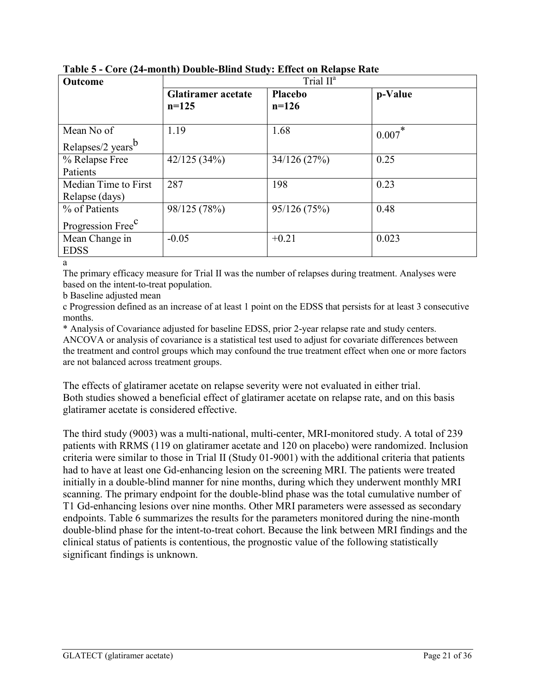| Outcome                       | Trial II <sup>a</sup>                |                           |         |
|-------------------------------|--------------------------------------|---------------------------|---------|
|                               | <b>Glatiramer</b> acetate<br>$n=125$ | <b>Placebo</b><br>$n=126$ | p-Value |
| Mean No of                    | 1.19                                 | 1.68                      | 0.007   |
| Relapses/2 years <sup>b</sup> |                                      |                           |         |
| % Relapse Free                | 42/125(34%)                          | 34/126(27%)               | 0.25    |
| Patients                      |                                      |                           |         |
| Median Time to First          | 287                                  | 198                       | 0.23    |
| Relapse (days)                |                                      |                           |         |
| % of Patients                 | 98/125 (78%)                         | 95/126(75%)               | 0.48    |
| Progression Free <sup>C</sup> |                                      |                           |         |
| Mean Change in                | $-0.05$                              | $+0.21$                   | 0.023   |
| <b>EDSS</b>                   |                                      |                           |         |

**Table 5 - Core (24-month) Double-Blind Study: Effect on Relapse Rate**

a

The primary efficacy measure for Trial II was the number of relapses during treatment. Analyses were based on the intent-to-treat population.

b Baseline adjusted mean

c Progression defined as an increase of at least 1 point on the EDSS that persists for at least 3 consecutive months.

\* Analysis of Covariance adjusted for baseline EDSS, prior 2-year relapse rate and study centers. ANCOVA or analysis of covariance is a statistical test used to adjust for covariate differences between the treatment and control groups which may confound the true treatment effect when one or more factors are not balanced across treatment groups.

The effects of glatiramer acetate on relapse severity were not evaluated in either trial. Both studies showed a beneficial effect of glatiramer acetate on relapse rate, and on this basis glatiramer acetate is considered effective.

The third study (9003) was a multi-national, multi-center, MRI-monitored study. A total of 239 patients with RRMS (119 on glatiramer acetate and 120 on placebo) were randomized. Inclusion criteria were similar to those in Trial II (Study 01-9001) with the additional criteria that patients had to have at least one Gd-enhancing lesion on the screening MRI. The patients were treated initially in a double-blind manner for nine months, during which they underwent monthly MRI scanning. The primary endpoint for the double-blind phase was the total cumulative number of T1 Gd-enhancing lesions over nine months. Other MRI parameters were assessed as secondary endpoints. Table 6 summarizes the results for the parameters monitored during the nine-month double-blind phase for the intent-to-treat cohort. Because the link between MRI findings and the clinical status of patients is contentious, the prognostic value of the following statistically significant findings is unknown.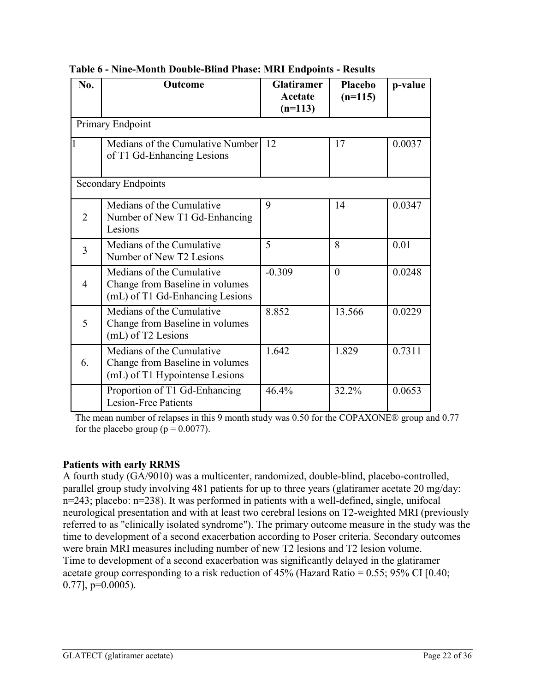| No.            | <b>Outcome</b>                                                                                  | <b>Glatiramer</b><br>Acetate<br>$(n=113)$ | Placebo<br>$(n=115)$ | p-value |
|----------------|-------------------------------------------------------------------------------------------------|-------------------------------------------|----------------------|---------|
|                | Primary Endpoint                                                                                |                                           |                      |         |
|                | Medians of the Cumulative Number<br>of T1 Gd-Enhancing Lesions                                  | 12                                        | 17                   | 0.0037  |
|                | <b>Secondary Endpoints</b>                                                                      |                                           |                      |         |
| $\overline{2}$ | Medians of the Cumulative<br>Number of New T1 Gd-Enhancing<br>Lesions                           | 9                                         | 14                   | 0.0347  |
| $\overline{3}$ | Medians of the Cumulative<br>Number of New T2 Lesions                                           | 5                                         | 8                    | 0.01    |
| 4              | Medians of the Cumulative<br>Change from Baseline in volumes<br>(mL) of T1 Gd-Enhancing Lesions | $-0.309$                                  | $\theta$             | 0.0248  |
| 5              | Medians of the Cumulative<br>Change from Baseline in volumes<br>(mL) of T2 Lesions              | 8.852                                     | 13.566               | 0.0229  |
| 6.             | Medians of the Cumulative<br>Change from Baseline in volumes<br>(mL) of T1 Hypointense Lesions  | 1.642                                     | 1.829                | 0.7311  |
|                | Proportion of T1 Gd-Enhancing<br><b>Lesion-Free Patients</b>                                    | 46.4%                                     | 32.2%                | 0.0653  |

**Table 6 - Nine-Month Double-Blind Phase: MRI Endpoints - Results**

The mean number of relapses in this 9 month study was 0.50 for the COPAXONE® group and 0.77 for the placebo group ( $p = 0.0077$ ).

# **Patients with early RRMS**

A fourth study (GA/9010) was a multicenter, randomized, double-blind, placebo-controlled, parallel group study involving 481 patients for up to three years (glatiramer acetate 20 mg/day: n=243; placebo: n=238). It was performed in patients with a well-defined, single, unifocal neurological presentation and with at least two cerebral lesions on T2-weighted MRI (previously referred to as "clinically isolated syndrome"). The primary outcome measure in the study was the time to development of a second exacerbation according to Poser criteria. Secondary outcomes were brain MRI measures including number of new T2 lesions and T2 lesion volume. Time to development of a second exacerbation was significantly delayed in the glatiramer acetate group corresponding to a risk reduction of  $45\%$  (Hazard Ratio = 0.55; 95% CI [0.40;  $0.77$ ],  $p=0.0005$ ).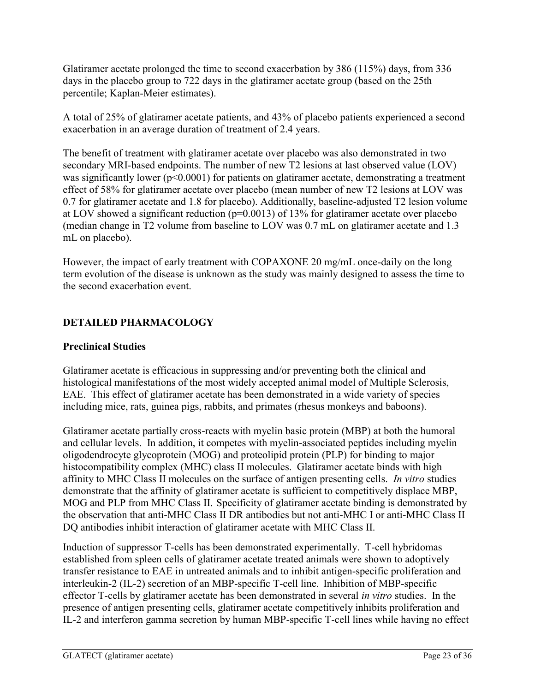Glatiramer acetate prolonged the time to second exacerbation by 386 (115%) days, from 336 days in the placebo group to 722 days in the glatiramer acetate group (based on the 25th percentile; Kaplan-Meier estimates).

A total of 25% of glatiramer acetate patients, and 43% of placebo patients experienced a second exacerbation in an average duration of treatment of 2.4 years.

The benefit of treatment with glatiramer acetate over placebo was also demonstrated in two secondary MRI-based endpoints. The number of new T2 lesions at last observed value (LOV) was significantly lower ( $p<0.0001$ ) for patients on glatiramer acetate, demonstrating a treatment effect of 58% for glatiramer acetate over placebo (mean number of new T2 lesions at LOV was 0.7 for glatiramer acetate and 1.8 for placebo). Additionally, baseline-adjusted T2 lesion volume at LOV showed a significant reduction ( $p=0.0013$ ) of 13% for glatiramer acetate over placebo (median change in T2 volume from baseline to LOV was 0.7 mL on glatiramer acetate and 1.3 mL on placebo).

However, the impact of early treatment with COPAXONE 20 mg/mL once-daily on the long term evolution of the disease is unknown as the study was mainly designed to assess the time to the second exacerbation event.

# <span id="page-22-0"></span>**DETAILED PHARMACOLOGY**

# **Preclinical Studies**

Glatiramer acetate is efficacious in suppressing and/or preventing both the clinical and histological manifestations of the most widely accepted animal model of Multiple Sclerosis, EAE. This effect of glatiramer acetate has been demonstrated in a wide variety of species including mice, rats, guinea pigs, rabbits, and primates (rhesus monkeys and baboons).

Glatiramer acetate partially cross-reacts with myelin basic protein (MBP) at both the humoral and cellular levels. In addition, it competes with myelin-associated peptides including myelin oligodendrocyte glycoprotein (MOG) and proteolipid protein (PLP) for binding to major histocompatibility complex (MHC) class II molecules. Glatiramer acetate binds with high affinity to MHC Class II molecules on the surface of antigen presenting cells. *In vitro* studies demonstrate that the affinity of glatiramer acetate is sufficient to competitively displace MBP, MOG and PLP from MHC Class II. Specificity of glatiramer acetate binding is demonstrated by the observation that anti-MHC Class II DR antibodies but not anti-MHC I or anti-MHC Class II DQ antibodies inhibit interaction of glatiramer acetate with MHC Class II.

Induction of suppressor T-cells has been demonstrated experimentally. T-cell hybridomas established from spleen cells of glatiramer acetate treated animals were shown to adoptively transfer resistance to EAE in untreated animals and to inhibit antigen-specific proliferation and interleukin-2 (IL-2) secretion of an MBP-specific T-cell line. Inhibition of MBP-specific effector T-cells by glatiramer acetate has been demonstrated in several *in vitro* studies. In the presence of antigen presenting cells, glatiramer acetate competitively inhibits proliferation and IL-2 and interferon gamma secretion by human MBP-specific T-cell lines while having no effect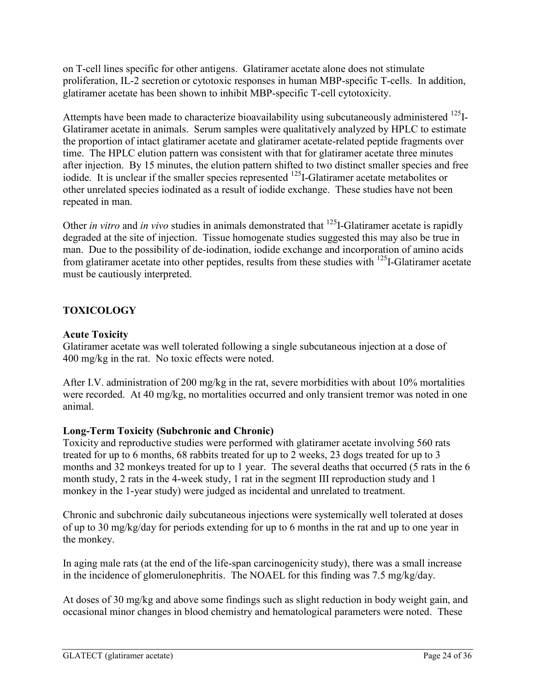on T-cell lines specific for other antigens. Glatiramer acetate alone does not stimulate proliferation, IL-2 secretion or cytotoxic responses in human MBP-specific T-cells. In addition, glatiramer acetate has been shown to inhibit MBP-specific T-cell cytotoxicity.

Attempts have been made to characterize bioavailability using subcutaneously administered  $^{125}$ I-Glatiramer acetate in animals. Serum samples were qualitatively analyzed by HPLC to estimate the proportion of intact glatiramer acetate and glatiramer acetate-related peptide fragments over time. The HPLC elution pattern was consistent with that for glatiramer acetate three minutes after injection. By 15 minutes, the elution pattern shifted to two distinct smaller species and free iodide. It is unclear if the smaller species represented <sup>125</sup>I-Glatiramer acetate metabolites or other unrelated species iodinated as a result of iodide exchange. These studies have not been repeated in man.

Other *in vitro* and *in vivo* studies in animals demonstrated that <sup>125</sup>I-Glatiramer acetate is rapidly degraded at the site of injection. Tissue homogenate studies suggested this may also be true in man. Due to the possibility of de-iodination, iodide exchange and incorporation of amino acids from glatiramer acetate into other peptides, results from these studies with  $^{125}$ I-Glatiramer acetate must be cautiously interpreted.

# <span id="page-23-0"></span>**TOXICOLOGY**

# **Acute Toxicity**

Glatiramer acetate was well tolerated following a single subcutaneous injection at a dose of 400 mg/kg in the rat. No toxic effects were noted.

After I.V. administration of 200 mg/kg in the rat, severe morbidities with about 10% mortalities were recorded. At 40 mg/kg, no mortalities occurred and only transient tremor was noted in one animal.

# **Long-Term Toxicity (Subchronic and Chronic)**

Toxicity and reproductive studies were performed with glatiramer acetate involving 560 rats treated for up to 6 months, 68 rabbits treated for up to 2 weeks, 23 dogs treated for up to 3 months and 32 monkeys treated for up to 1 year. The several deaths that occurred (5 rats in the 6 month study, 2 rats in the 4-week study, 1 rat in the segment III reproduction study and 1 monkey in the 1-year study) were judged as incidental and unrelated to treatment.

Chronic and subchronic daily subcutaneous injections were systemically well tolerated at doses of up to 30 mg/kg/day for periods extending for up to 6 months in the rat and up to one year in the monkey.

In aging male rats (at the end of the life-span carcinogenicity study), there was a small increase in the incidence of glomerulonephritis. The NOAEL for this finding was 7.5 mg/kg/day.

At doses of 30 mg/kg and above some findings such as slight reduction in body weight gain, and occasional minor changes in blood chemistry and hematological parameters were noted. These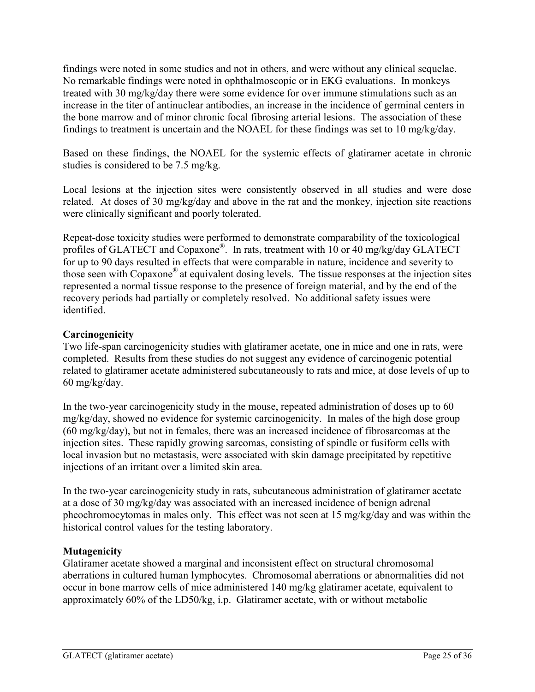findings were noted in some studies and not in others, and were without any clinical sequelae. No remarkable findings were noted in ophthalmoscopic or in EKG evaluations. In monkeys treated with 30 mg/kg/day there were some evidence for over immune stimulations such as an increase in the titer of antinuclear antibodies, an increase in the incidence of germinal centers in the bone marrow and of minor chronic focal fibrosing arterial lesions. The association of these findings to treatment is uncertain and the NOAEL for these findings was set to 10 mg/kg/day.

Based on these findings, the NOAEL for the systemic effects of glatiramer acetate in chronic studies is considered to be 7.5 mg/kg.

Local lesions at the injection sites were consistently observed in all studies and were dose related. At doses of 30 mg/kg/day and above in the rat and the monkey, injection site reactions were clinically significant and poorly tolerated.

Repeat-dose toxicity studies were performed to demonstrate comparability of the toxicological profiles of GLATECT and Copaxone®. In rats, treatment with 10 or 40 mg/kg/day GLATECT for up to 90 days resulted in effects that were comparable in nature, incidence and severity to those seen with Copaxone® at equivalent dosing levels. The tissue responses at the injection sites represented a normal tissue response to the presence of foreign material, and by the end of the recovery periods had partially or completely resolved. No additional safety issues were identified.

# **Carcinogenicity**

Two life-span carcinogenicity studies with glatiramer acetate, one in mice and one in rats, were completed. Results from these studies do not suggest any evidence of carcinogenic potential related to glatiramer acetate administered subcutaneously to rats and mice, at dose levels of up to 60 mg/kg/day.

In the two-year carcinogenicity study in the mouse, repeated administration of doses up to 60 mg/kg/day, showed no evidence for systemic carcinogenicity. In males of the high dose group (60 mg/kg/day), but not in females, there was an increased incidence of fibrosarcomas at the injection sites. These rapidly growing sarcomas, consisting of spindle or fusiform cells with local invasion but no metastasis, were associated with skin damage precipitated by repetitive injections of an irritant over a limited skin area.

In the two-year carcinogenicity study in rats, subcutaneous administration of glatiramer acetate at a dose of 30 mg/kg/day was associated with an increased incidence of benign adrenal pheochromocytomas in males only. This effect was not seen at 15 mg/kg/day and was within the historical control values for the testing laboratory.

# **Mutagenicity**

Glatiramer acetate showed a marginal and inconsistent effect on structural chromosomal aberrations in cultured human lymphocytes. Chromosomal aberrations or abnormalities did not occur in bone marrow cells of mice administered 140 mg/kg glatiramer acetate, equivalent to approximately 60% of the LD50/kg, i.p. Glatiramer acetate, with or without metabolic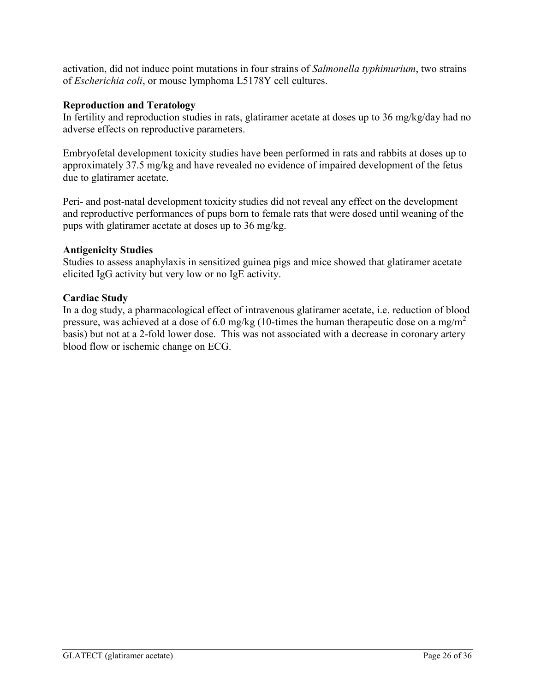activation, did not induce point mutations in four strains of *Salmonella typhimurium*, two strains of *Escherichia coli*, or mouse lymphoma L5178Y cell cultures.

### **Reproduction and Teratology**

In fertility and reproduction studies in rats, glatiramer acetate at doses up to 36 mg/kg/day had no adverse effects on reproductive parameters.

Embryofetal development toxicity studies have been performed in rats and rabbits at doses up to approximately 37.5 mg/kg and have revealed no evidence of impaired development of the fetus due to glatiramer acetate.

Peri- and post-natal development toxicity studies did not reveal any effect on the development and reproductive performances of pups born to female rats that were dosed until weaning of the pups with glatiramer acetate at doses up to 36 mg/kg.

#### **Antigenicity Studies**

Studies to assess anaphylaxis in sensitized guinea pigs and mice showed that glatiramer acetate elicited IgG activity but very low or no IgE activity.

# **Cardiac Study**

In a dog study, a pharmacological effect of intravenous glatiramer acetate, i.e. reduction of blood pressure, was achieved at a dose of 6.0 mg/kg (10-times the human therapeutic dose on a mg/m<sup>2</sup> basis) but not at a 2-fold lower dose. This was not associated with a decrease in coronary artery blood flow or ischemic change on ECG.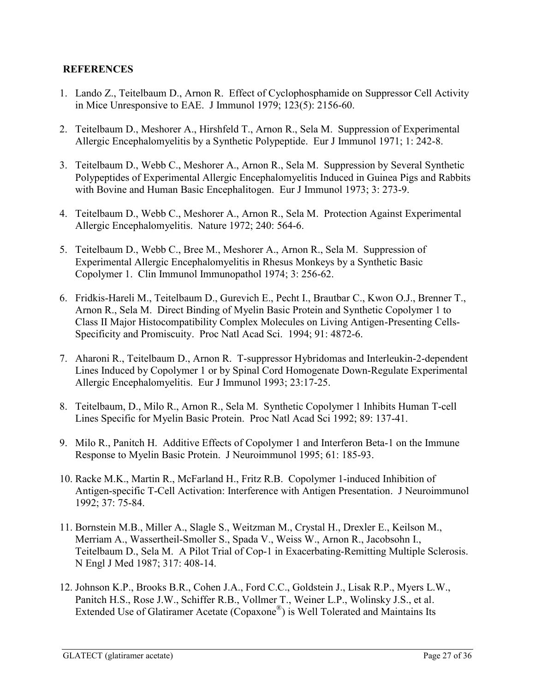# <span id="page-26-0"></span>**REFERENCES**

- 1. Lando Z., Teitelbaum D., Arnon R. Effect of Cyclophosphamide on Suppressor Cell Activity in Mice Unresponsive to EAE. J Immunol 1979; 123(5): 2156-60.
- 2. Teitelbaum D., Meshorer A., Hirshfeld T., Arnon R., Sela M. Suppression of Experimental Allergic Encephalomyelitis by a Synthetic Polypeptide. Eur J Immunol 1971; 1: 242-8.
- 3. Teitelbaum D., Webb C., Meshorer A., Arnon R., Sela M. Suppression by Several Synthetic Polypeptides of Experimental Allergic Encephalomyelitis Induced in Guinea Pigs and Rabbits with Bovine and Human Basic Encephalitogen. Eur J Immunol 1973; 3: 273-9.
- 4. Teitelbaum D., Webb C., Meshorer A., Arnon R., Sela M. Protection Against Experimental Allergic Encephalomyelitis. Nature 1972; 240: 564-6.
- 5. Teitelbaum D., Webb C., Bree M., Meshorer A., Arnon R., Sela M. Suppression of Experimental Allergic Encephalomyelitis in Rhesus Monkeys by a Synthetic Basic Copolymer 1. Clin Immunol Immunopathol 1974; 3: 256-62.
- 6. Fridkis-Hareli M., Teitelbaum D., Gurevich E., Pecht I., Brautbar C., Kwon O.J., Brenner T., Arnon R., Sela M. Direct Binding of Myelin Basic Protein and Synthetic Copolymer 1 to Class II Major Histocompatibility Complex Molecules on Living Antigen-Presenting Cells-Specificity and Promiscuity. Proc Natl Acad Sci. 1994; 91: 4872-6.
- 7. Aharoni R., Teitelbaum D., Arnon R. T-suppressor Hybridomas and Interleukin-2-dependent Lines Induced by Copolymer 1 or by Spinal Cord Homogenate Down-Regulate Experimental Allergic Encephalomyelitis. Eur J Immunol 1993; 23:17-25.
- 8. Teitelbaum, D., Milo R., Arnon R., Sela M. Synthetic Copolymer 1 Inhibits Human T-cell Lines Specific for Myelin Basic Protein. Proc Natl Acad Sci 1992; 89: 137-41.
- 9. Milo R., Panitch H. Additive Effects of Copolymer 1 and Interferon Beta-1 on the Immune Response to Myelin Basic Protein. J Neuroimmunol 1995; 61: 185-93.
- 10. Racke M.K., Martin R., McFarland H., Fritz R.B. Copolymer 1-induced Inhibition of Antigen-specific T-Cell Activation: Interference with Antigen Presentation. J Neuroimmunol 1992; 37: 75-84.
- 11. Bornstein M.B., Miller A., Slagle S., Weitzman M., Crystal H., Drexler E., Keilson M., Merriam A., Wassertheil-Smoller S., Spada V., Weiss W., Arnon R., Jacobsohn I., Teitelbaum D., Sela M. A Pilot Trial of Cop-1 in Exacerbating-Remitting Multiple Sclerosis. N Engl J Med 1987; 317: 408-14.
- 12. Johnson K.P., Brooks B.R., Cohen J.A., Ford C.C., Goldstein J., Lisak R.P., Myers L.W., Panitch H.S., Rose J.W., Schiffer R.B., Vollmer T., Weiner L.P., Wolinsky J.S., et al. Extended Use of Glatiramer Acetate (Copaxone®) is Well Tolerated and Maintains Its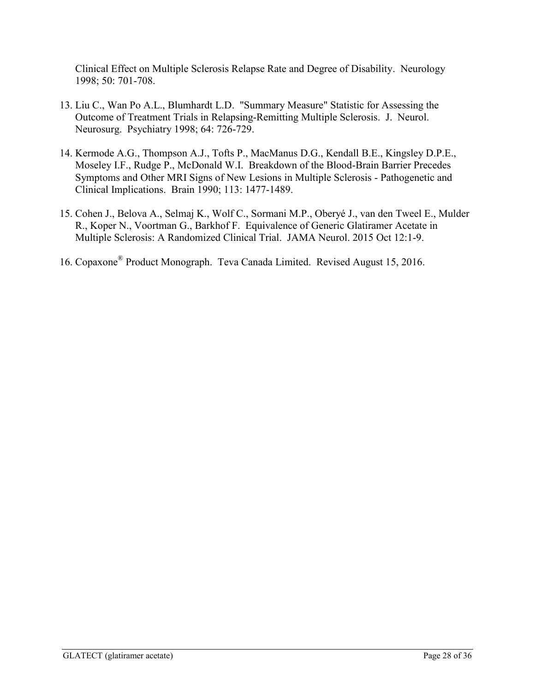Clinical Effect on Multiple Sclerosis Relapse Rate and Degree of Disability. Neurology 1998; 50: 701-708.

- 13. Liu C., Wan Po A.L., Blumhardt L.D. "Summary Measure" Statistic for Assessing the Outcome of Treatment Trials in Relapsing-Remitting Multiple Sclerosis. J. Neurol. Neurosurg. Psychiatry 1998; 64: 726-729.
- 14. Kermode A.G., Thompson A.J., Tofts P., MacManus D.G., Kendall B.E., Kingsley D.P.E., Moseley I.F., Rudge P., McDonald W.I. Breakdown of the Blood-Brain Barrier Precedes Symptoms and Other MRI Signs of New Lesions in Multiple Sclerosis - Pathogenetic and Clinical Implications. Brain 1990; 113: 1477-1489.
- 15. Cohen J., Belova A., Selmaj K., Wolf C., Sormani M.P., Oberyé J., van den Tweel E., Mulder R., Koper N., Voortman G., Barkhof F. Equivalence of Generic Glatiramer Acetate in Multiple Sclerosis: A Randomized Clinical Trial. JAMA Neurol. 2015 Oct 12:1-9.
- 16. Copaxone® Product Monograph. Teva Canada Limited. Revised August 15, 2016.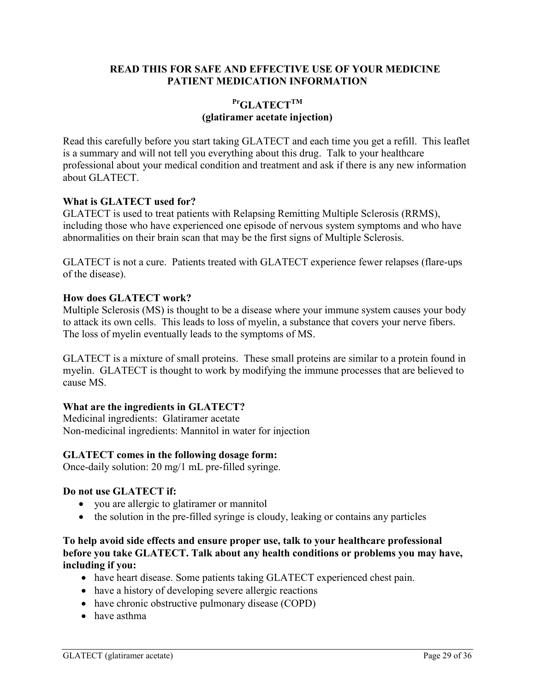### **READ THIS FOR SAFE AND EFFECTIVE USE OF YOUR MEDICINE PATIENT MEDICATION INFORMATION**

# <span id="page-28-0"></span>**PrGLATECTTM (glatiramer acetate injection)**

Read this carefully before you start taking GLATECT and each time you get a refill. This leaflet is a summary and will not tell you everything about this drug. Talk to your healthcare professional about your medical condition and treatment and ask if there is any new information about GLATECT.

#### **What is GLATECT used for?**

GLATECT is used to treat patients with Relapsing Remitting Multiple Sclerosis (RRMS), including those who have experienced one episode of nervous system symptoms and who have abnormalities on their brain scan that may be the first signs of Multiple Sclerosis.

GLATECT is not a cure. Patients treated with GLATECT experience fewer relapses (flare-ups of the disease).

#### **How does GLATECT work?**

Multiple Sclerosis (MS) is thought to be a disease where your immune system causes your body to attack its own cells. This leads to loss of myelin, a substance that covers your nerve fibers. The loss of myelin eventually leads to the symptoms of MS.

GLATECT is a mixture of small proteins. These small proteins are similar to a protein found in myelin. GLATECT is thought to work by modifying the immune processes that are believed to cause MS.

#### **What are the ingredients in GLATECT?**

Medicinal ingredients:Glatiramer acetate Non-medicinal ingredients: Mannitol in water for injection

#### **GLATECT comes in the following dosage form:**

Once-daily solution: 20 mg/1 mL pre-filled syringe.

#### **Do not use GLATECT if:**

- you are allergic to glatiramer or mannitol
- the solution in the pre-filled syringe is cloudy, leaking or contains any particles

#### **To help avoid side effects and ensure proper use, talk to your healthcare professional before you take GLATECT. Talk about any health conditions or problems you may have, including if you:**

- have heart disease. Some patients taking GLATECT experienced chest pain.
- have a history of developing severe allergic reactions
- have chronic obstructive pulmonary disease (COPD)
- have asthma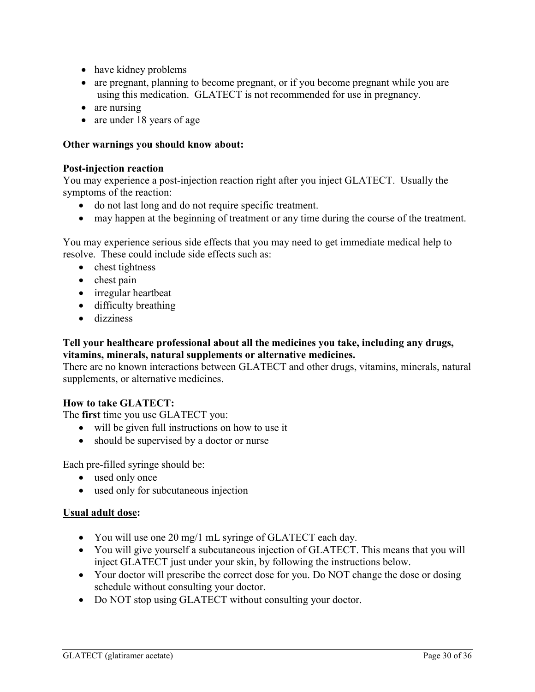- have kidney problems
- are pregnant, planning to become pregnant, or if you become pregnant while you are using this medication. GLATECT is not recommended for use in pregnancy.
- are nursing
- are under 18 years of age

### **Other warnings you should know about:**

#### **Post-injection reaction**

You may experience a post-injection reaction right after you inject GLATECT. Usually the symptoms of the reaction:

- do not last long and do not require specific treatment.
- may happen at the beginning of treatment or any time during the course of the treatment.

You may experience serious side effects that you may need to get immediate medical help to resolve. These could include side effects such as:

- chest tightness
- $\bullet$  chest pain
- irregular heartbeat
- difficulty breathing
- dizziness

#### **Tell your healthcare professional about all the medicines you take, including any drugs, vitamins, minerals, natural supplements or alternative medicines.**

There are no known interactions between GLATECT and other drugs, vitamins, minerals, natural supplements, or alternative medicines.

# **How to take GLATECT:**

The **first** time you use GLATECT you:

- will be given full instructions on how to use it
- should be supervised by a doctor or nurse

Each pre-filled syringe should be:

- used only once
- used only for subcutaneous injection

#### **Usual adult dose:**

- You will use one 20 mg/1 mL syringe of GLATECT each day.
- You will give yourself a subcutaneous injection of GLATECT. This means that you will inject GLATECT just under your skin, by following the instructions below.
- Your doctor will prescribe the correct dose for you. Do NOT change the dose or dosing schedule without consulting your doctor.
- Do NOT stop using GLATECT without consulting your doctor.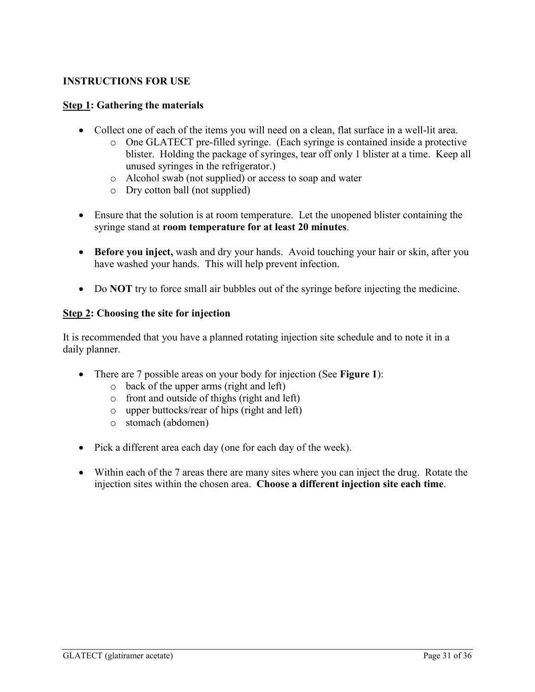# **INSTRUCTIONS FOR USE**

### **Step 1: Gathering the materials**

- Collect one of each of the items you will need on a clean, flat surface in a well-lit area.
	- o One GLATECT pre-filled syringe. (Each syringe is contained inside a protective blister. Holding the package of syringes, tear off only 1 blister at a time. Keep all unused syringes in the refrigerator.)
	- o Alcohol swab (not supplied) or access to soap and water
	- o Dry cotton ball (not supplied)
- Ensure that the solution is at room temperature. Let the unopened blister containing the syringe stand at **room temperature for at least 20 minutes**.
- **Before you inject,** wash and dry your hands. Avoid touching your hair or skin, after you have washed your hands. This will help prevent infection.
- Do **NOT** try to force small air bubbles out of the syringe before injecting the medicine.

#### **Step 2: Choosing the site for injection**

It is recommended that you have a planned rotating injection site schedule and to note it in a daily planner.

- There are 7 possible areas on your body for injection (See **Figure 1**):
	- o back of the upper arms (right and left)
	- o front and outside of thighs (right and left)
	- o upper buttocks/rear of hips (right and left)
	- o stomach (abdomen)
- Pick a different area each day (one for each day of the week).
- Within each of the 7 areas there are many sites where you can inject the drug. Rotate the injection sites within the chosen area. **Choose a different injection site each time**.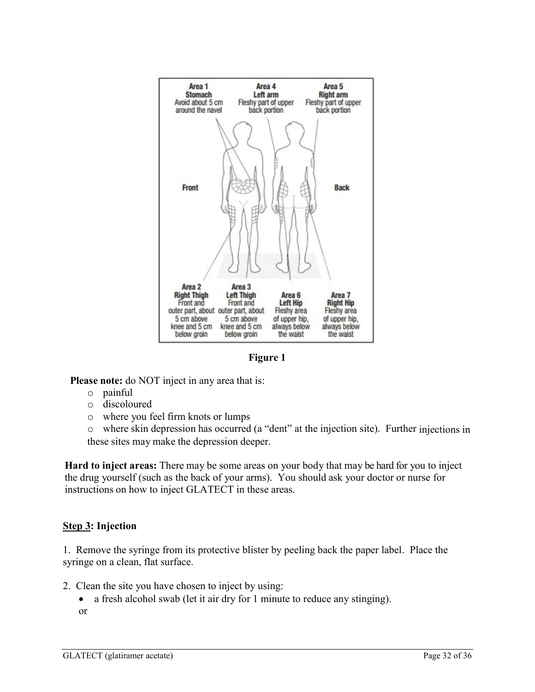

**Figure 1**

**Please note:** do NOT inject in any area that is:

- o painful
- o discoloured
- o where you feel firm knots or lumps

o where skin depression has occurred (a "dent" at the injection site). Further injections in these sites may make the depression deeper.

**Hard to inject areas:** There may be some areas on your body that may be hard for you to inject the drug yourself (such as the back of your arms). You should ask your doctor or nurse for instructions on how to inject GLATECT in these areas.

# **Step 3: Injection**

1. Remove the syringe from its protective blister by peeling back the paper label. Place the syringe on a clean, flat surface.

- 2. Clean the site you have chosen to inject by using:
	- a fresh alcohol swab (let it air dry for 1 minute to reduce any stinging).

or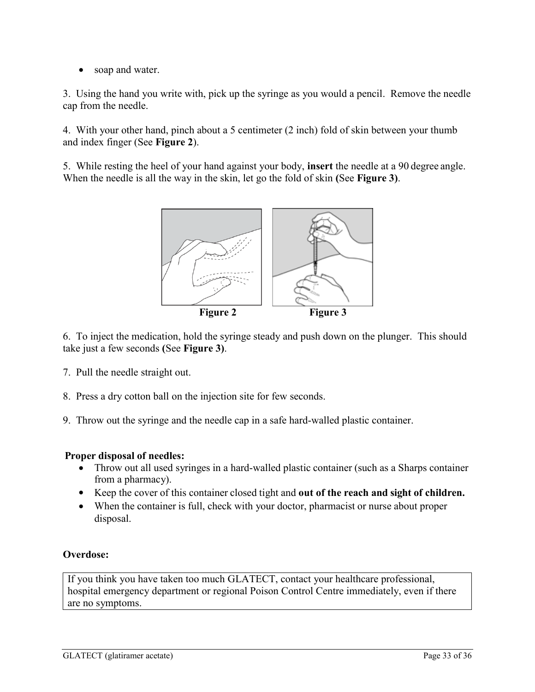• soap and water.

3. Using the hand you write with, pick up the syringe as you would a pencil. Remove the needle cap from the needle.

4. With your other hand, pinch about a 5 centimeter (2 inch) fold of skin between your thumb and index finger (See **Figure 2**).

5. While resting the heel of your hand against your body, **insert** the needle at a 90 degree angle. When the needle is all the way in the skin, let go the fold of skin **(**See **Figure 3)**.



6. To inject the medication, hold the syringe steady and push down on the plunger. This should take just a few seconds **(**See **Figure 3)**.

- 7. Pull the needle straight out.
- 8. Press a dry cotton ball on the injection site for few seconds.
- 9. Throw out the syringe and the needle cap in a safe hard-walled plastic container.

# **Proper disposal of needles:**

- Throw out all used syringes in a hard-walled plastic container (such as a Sharps container from a pharmacy).
- Keep the cover of this container closed tight and **out of the reach and sight of children.**
- When the container is full, check with your doctor, pharmacist or nurse about proper disposal.

# **Overdose:**

If you think you have taken too much GLATECT, contact your healthcare professional, hospital emergency department or regional Poison Control Centre immediately, even if there are no symptoms.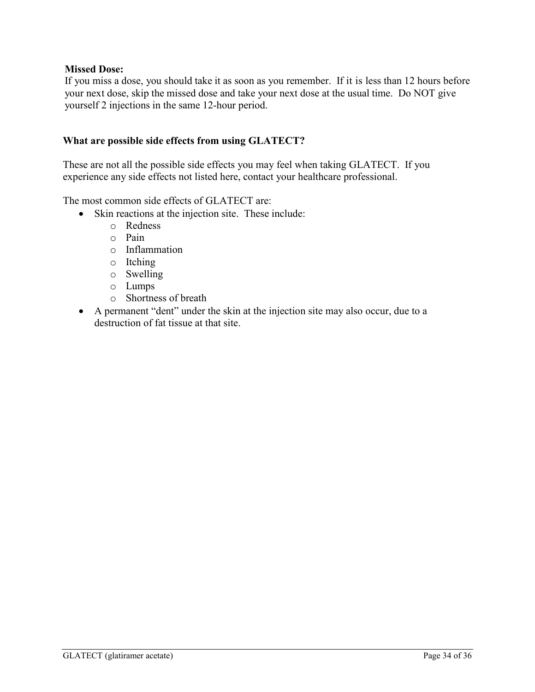### **Missed Dose:**

If you miss a dose, you should take it as soon as you remember. If it is less than 12 hours before your next dose, skip the missed dose and take your next dose at the usual time. Do NOT give yourself 2 injections in the same 12-hour period.

#### **What are possible side effects from using GLATECT?**

These are not all the possible side effects you may feel when taking GLATECT. If you experience any side effects not listed here, contact your healthcare professional.

The most common side effects of GLATECT are:

- Skin reactions at the injection site. These include:
	- o Redness
	- o Pain
	- o Inflammation
	- o Itching
	- o Swelling
	- o Lumps
	- o Shortness of breath
- A permanent "dent" under the skin at the injection site may also occur, due to a destruction of fat tissue at that site.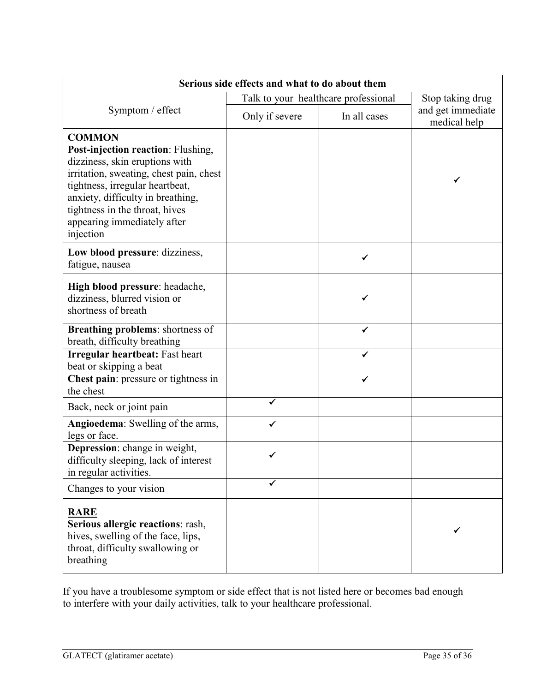| Serious side effects and what to do about them                                                                                                                                                                                                                                         |                                      |                  |                                   |  |
|----------------------------------------------------------------------------------------------------------------------------------------------------------------------------------------------------------------------------------------------------------------------------------------|--------------------------------------|------------------|-----------------------------------|--|
|                                                                                                                                                                                                                                                                                        | Talk to your healthcare professional | Stop taking drug |                                   |  |
| Symptom / effect                                                                                                                                                                                                                                                                       | Only if severe                       | In all cases     | and get immediate<br>medical help |  |
| <b>COMMON</b><br>Post-injection reaction: Flushing,<br>dizziness, skin eruptions with<br>irritation, sweating, chest pain, chest<br>tightness, irregular heartbeat,<br>anxiety, difficulty in breathing,<br>tightness in the throat, hives<br>appearing immediately after<br>injection |                                      |                  | ✔                                 |  |
| Low blood pressure: dizziness,<br>fatigue, nausea                                                                                                                                                                                                                                      |                                      |                  |                                   |  |
| High blood pressure: headache,<br>dizziness, blurred vision or<br>shortness of breath                                                                                                                                                                                                  |                                      | ✔                |                                   |  |
| <b>Breathing problems:</b> shortness of<br>breath, difficulty breathing                                                                                                                                                                                                                |                                      | ✓                |                                   |  |
| <b>Irregular heartbeat: Fast heart</b><br>beat or skipping a beat                                                                                                                                                                                                                      |                                      | ✔                |                                   |  |
| Chest pain: pressure or tightness in<br>the chest                                                                                                                                                                                                                                      |                                      | ✔                |                                   |  |
| Back, neck or joint pain                                                                                                                                                                                                                                                               |                                      |                  |                                   |  |
| Angioedema: Swelling of the arms,<br>legs or face.                                                                                                                                                                                                                                     |                                      |                  |                                   |  |
| Depression: change in weight,<br>difficulty sleeping, lack of interest<br>in regular activities.                                                                                                                                                                                       |                                      |                  |                                   |  |
| Changes to your vision                                                                                                                                                                                                                                                                 |                                      |                  |                                   |  |
| <b>RARE</b><br>Serious allergic reactions: rash,<br>hives, swelling of the face, lips,<br>throat, difficulty swallowing or<br>breathing                                                                                                                                                |                                      |                  |                                   |  |

If you have a troublesome symptom or side effect that is not listed here or becomes bad enough to interfere with your daily activities, talk to your healthcare professional.